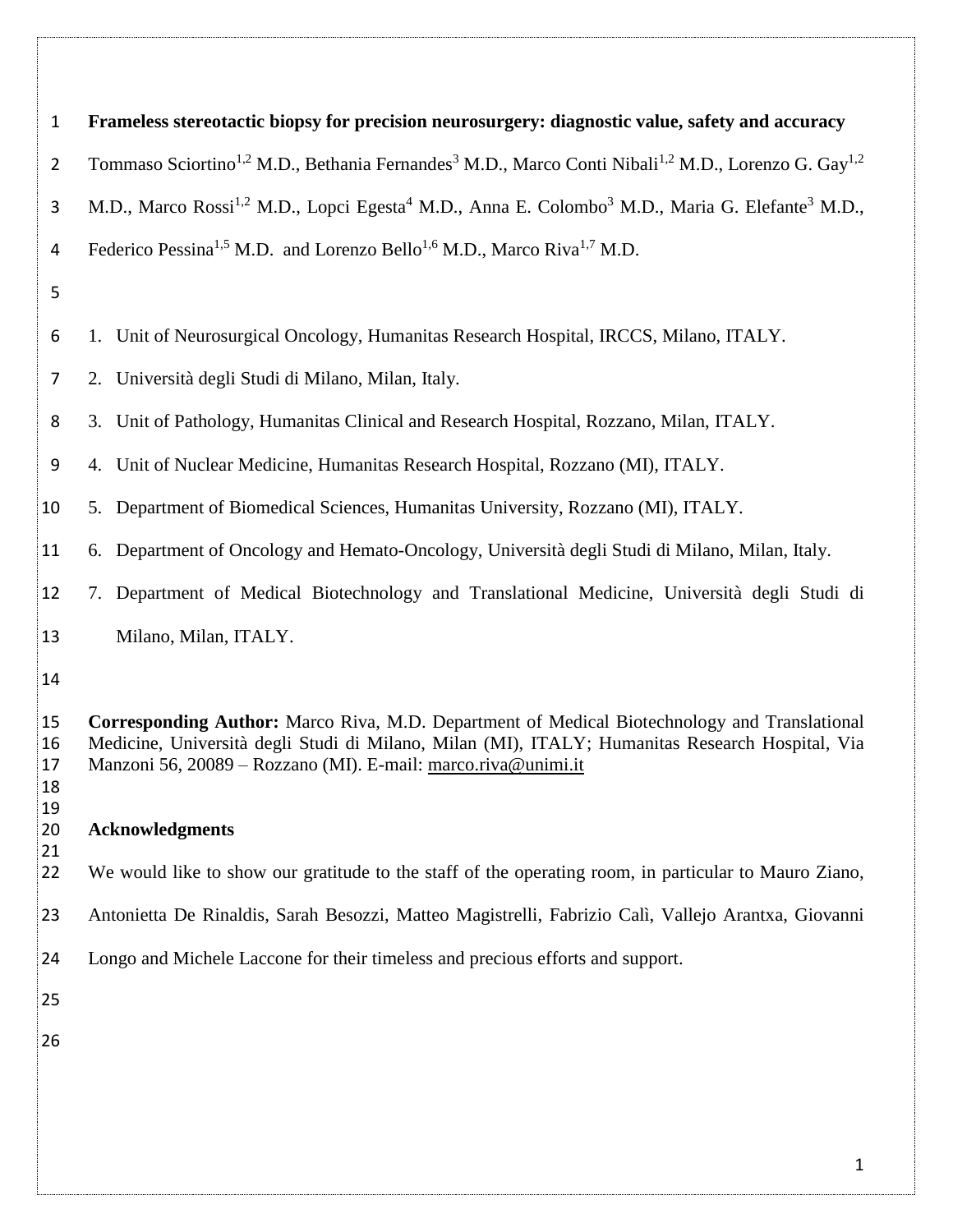| $\mathbf{1}$         | Frameless stereotactic biopsy for precision neurosurgery: diagnostic value, safety and accuracy                                                                                                                                                                  |  |  |  |
|----------------------|------------------------------------------------------------------------------------------------------------------------------------------------------------------------------------------------------------------------------------------------------------------|--|--|--|
| $\overline{2}$       | Tommaso Sciortino <sup>1,2</sup> M.D., Bethania Fernandes <sup>3</sup> M.D., Marco Conti Nibali <sup>1,2</sup> M.D., Lorenzo G. Gay <sup>1,2</sup>                                                                                                               |  |  |  |
| 3                    | M.D., Marco Rossi <sup>1,2</sup> M.D., Lopci Egesta <sup>4</sup> M.D., Anna E. Colombo <sup>3</sup> M.D., Maria G. Elefante <sup>3</sup> M.D.,                                                                                                                   |  |  |  |
| 4                    | Federico Pessina <sup>1,5</sup> M.D. and Lorenzo Bello <sup>1,6</sup> M.D., Marco Riva <sup>1,7</sup> M.D.                                                                                                                                                       |  |  |  |
| 5                    |                                                                                                                                                                                                                                                                  |  |  |  |
| 6                    | 1. Unit of Neurosurgical Oncology, Humanitas Research Hospital, IRCCS, Milano, ITALY.                                                                                                                                                                            |  |  |  |
| 7                    | 2. Università degli Studi di Milano, Milan, Italy.                                                                                                                                                                                                               |  |  |  |
| 8                    | 3. Unit of Pathology, Humanitas Clinical and Research Hospital, Rozzano, Milan, ITALY.                                                                                                                                                                           |  |  |  |
| 9                    | 4. Unit of Nuclear Medicine, Humanitas Research Hospital, Rozzano (MI), ITALY.                                                                                                                                                                                   |  |  |  |
| 10                   | 5. Department of Biomedical Sciences, Humanitas University, Rozzano (MI), ITALY.                                                                                                                                                                                 |  |  |  |
| 11                   | 6. Department of Oncology and Hemato-Oncology, Università degli Studi di Milano, Milan, Italy.                                                                                                                                                                   |  |  |  |
| 12                   | 7. Department of Medical Biotechnology and Translational Medicine, Università degli Studi di                                                                                                                                                                     |  |  |  |
| 13                   | Milano, Milan, ITALY.                                                                                                                                                                                                                                            |  |  |  |
| 14                   |                                                                                                                                                                                                                                                                  |  |  |  |
| 15<br>16<br>17<br>18 | Corresponding Author: Marco Riva, M.D. Department of Medical Biotechnology and Translational<br>Medicine, Università degli Studi di Milano, Milan (MI), ITALY; Humanitas Research Hospital, Via<br>Manzoni 56, 20089 - Rozzano (MI). E-mail: marco.riva@unimi.it |  |  |  |
| 19<br>20             | <b>Acknowledgments</b>                                                                                                                                                                                                                                           |  |  |  |
| 21<br>22             | We would like to show our gratitude to the staff of the operating room, in particular to Mauro Ziano,                                                                                                                                                            |  |  |  |
| 23                   | Antonietta De Rinaldis, Sarah Besozzi, Matteo Magistrelli, Fabrizio Calì, Vallejo Arantxa, Giovanni                                                                                                                                                              |  |  |  |
| 24                   | Longo and Michele Laccone for their timeless and precious efforts and support.                                                                                                                                                                                   |  |  |  |
| 25                   |                                                                                                                                                                                                                                                                  |  |  |  |
| 26                   |                                                                                                                                                                                                                                                                  |  |  |  |
|                      |                                                                                                                                                                                                                                                                  |  |  |  |
|                      |                                                                                                                                                                                                                                                                  |  |  |  |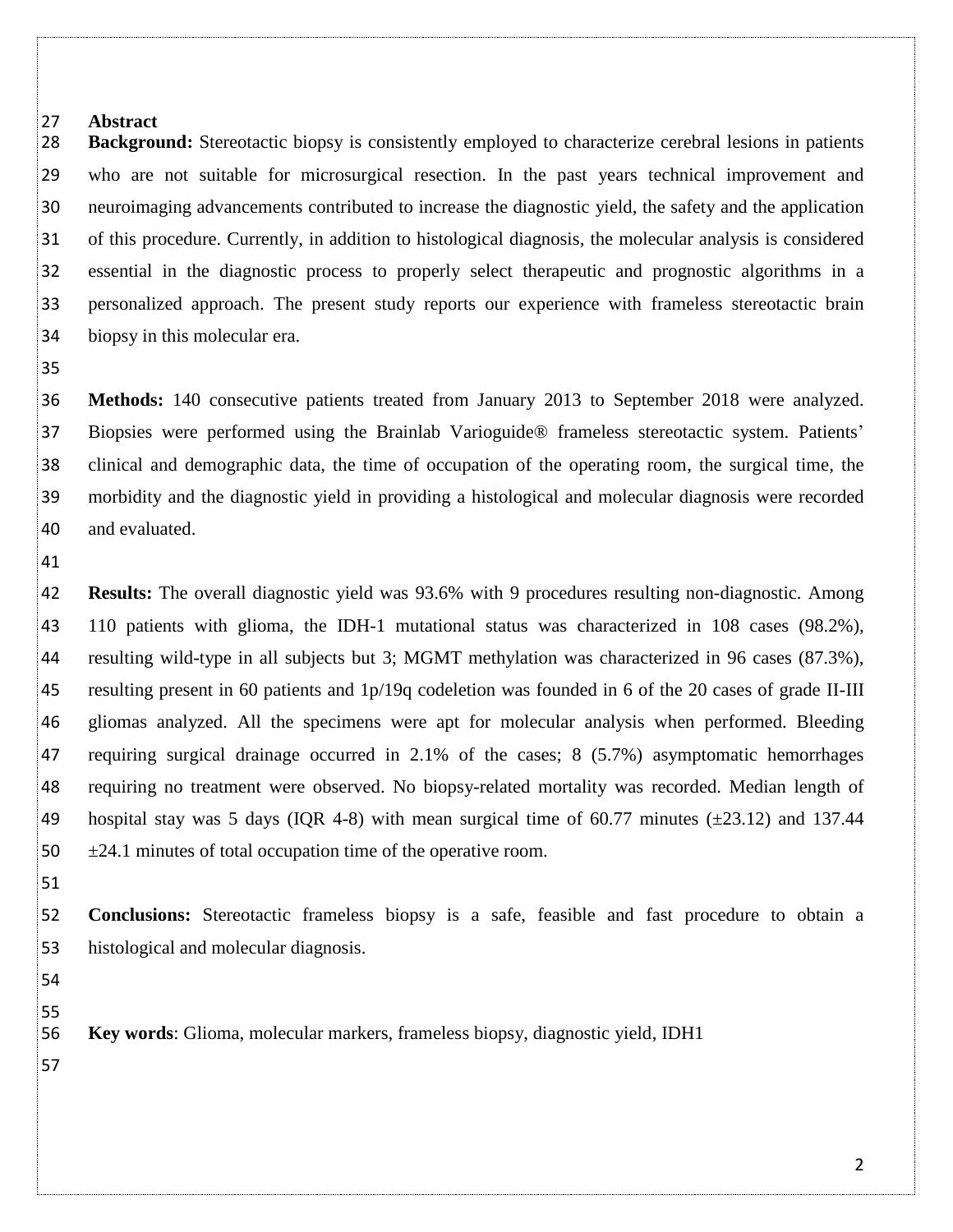#### **Abstract**

 **Background:** Stereotactic biopsy is consistently employed to characterize cerebral lesions in patients who are not suitable for microsurgical resection. In the past years technical improvement and neuroimaging advancements contributed to increase the diagnostic yield, the safety and the application of this procedure. Currently, in addition to histological diagnosis, the molecular analysis is considered essential in the diagnostic process to properly select therapeutic and prognostic algorithms in a personalized approach. The present study reports our experience with frameless stereotactic brain biopsy in this molecular era.

 **Methods:** 140 consecutive patients treated from January 2013 to September 2018 were analyzed. Biopsies were performed using the Brainlab Varioguide® frameless stereotactic system. Patients' clinical and demographic data, the time of occupation of the operating room, the surgical time, the morbidity and the diagnostic yield in providing a histological and molecular diagnosis were recorded and evaluated.

 **Results:** The overall diagnostic yield was 93.6% with 9 procedures resulting non-diagnostic. Among 110 patients with glioma, the IDH-1 mutational status was characterized in 108 cases (98.2%), resulting wild-type in all subjects but 3; MGMT methylation was characterized in 96 cases (87.3%), resulting present in 60 patients and 1p/19q codeletion was founded in 6 of the 20 cases of grade II-III gliomas analyzed. All the specimens were apt for molecular analysis when performed. Bleeding requiring surgical drainage occurred in 2.1% of the cases; 8 (5.7%) asymptomatic hemorrhages requiring no treatment were observed. No biopsy-related mortality was recorded. Median length of 49 hospital stay was 5 days (IQR 4-8) with mean surgical time of 60.77 minutes  $(\pm 23.12)$  and 137.44  $50 \div 24.1$  minutes of total occupation time of the operative room.

 **Conclusions:** Stereotactic frameless biopsy is a safe, feasible and fast procedure to obtain a histological and molecular diagnosis.

 

**Key words**: Glioma, molecular markers, frameless biopsy, diagnostic yield, IDH1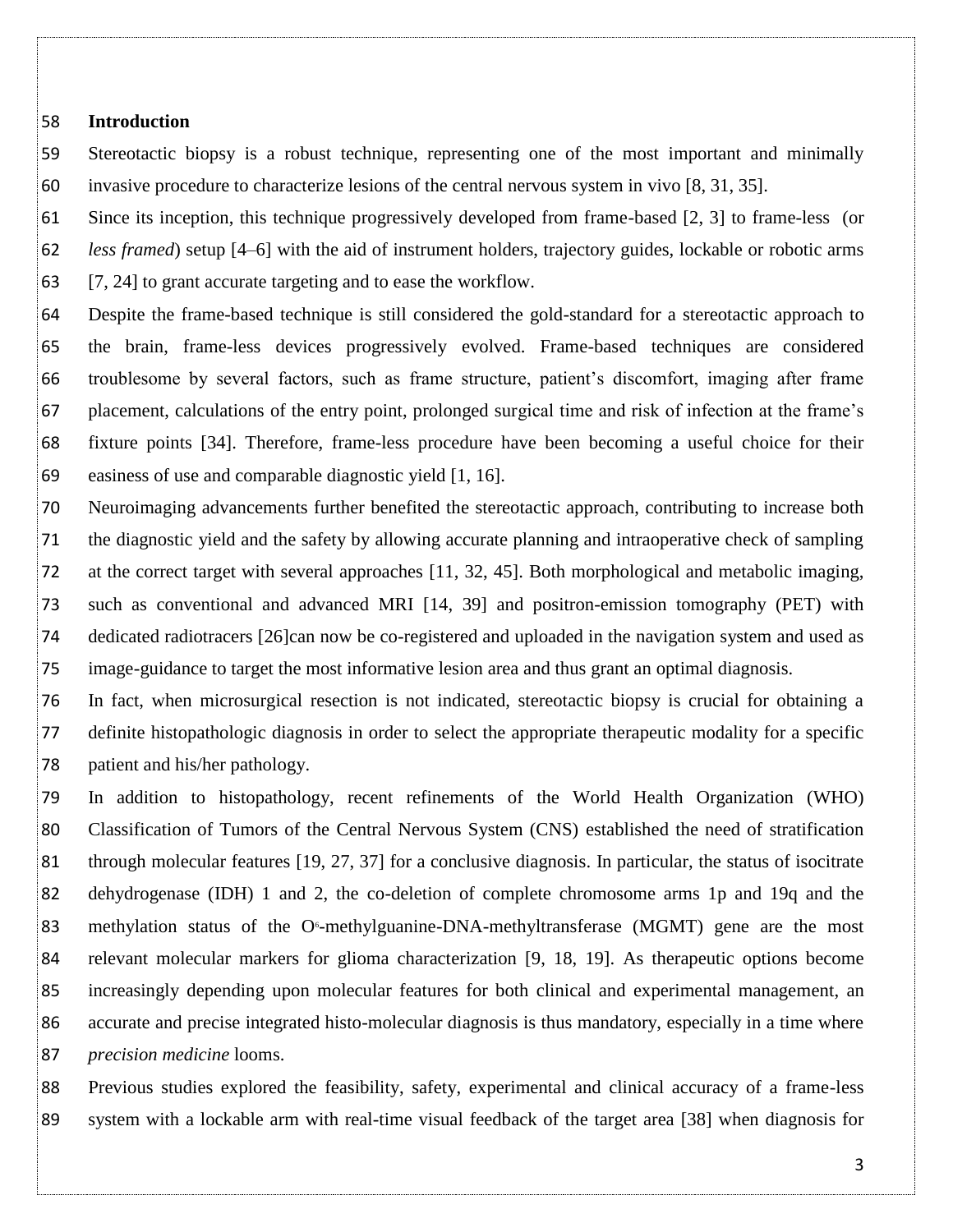#### **Introduction**

 Stereotactic biopsy is a robust technique, representing one of the most important and minimally invasive procedure to characterize lesions of the central nervous system in vivo [8, 31, 35].

 Since its inception, this technique progressively developed from frame-based [2, 3] to frame-less (or *less framed*) setup [4–6] with the aid of instrument holders, trajectory guides, lockable or robotic arms [7, 24] to grant accurate targeting and to ease the workflow.

 Despite the frame-based technique is still considered the gold-standard for a stereotactic approach to the brain, frame-less devices progressively evolved. Frame-based techniques are considered troublesome by several factors, such as frame structure, patient's discomfort, imaging after frame placement, calculations of the entry point, prolonged surgical time and risk of infection at the frame's fixture points [34]. Therefore, frame-less procedure have been becoming a useful choice for their easiness of use and comparable diagnostic yield [1, 16].

 Neuroimaging advancements further benefited the stereotactic approach, contributing to increase both the diagnostic yield and the safety by allowing accurate planning and intraoperative check of sampling at the correct target with several approaches [11, 32, 45]. Both morphological and metabolic imaging, such as conventional and advanced MRI [14, 39] and positron-emission tomography (PET) with dedicated radiotracers [26]can now be co-registered and uploaded in the navigation system and used as image-guidance to target the most informative lesion area and thus grant an optimal diagnosis.

 In fact, when microsurgical resection is not indicated, stereotactic biopsy is crucial for obtaining a definite histopathologic diagnosis in order to select the appropriate therapeutic modality for a specific patient and his/her pathology.

 In addition to histopathology, recent refinements of the World Health Organization (WHO) Classification of Tumors of the Central Nervous System (CNS) established the need of stratification through molecular features [19, 27, 37] for a conclusive diagnosis. In particular, the status of isocitrate dehydrogenase (IDH) 1 and 2, the co-deletion of complete chromosome arms 1p and 19q and the 83 methylation status of the O $\epsilon$ -methylguanine-DNA-methyltransferase (MGMT) gene are the most relevant molecular markers for glioma characterization [9, 18, 19]. As therapeutic options become increasingly depending upon molecular features for both clinical and experimental management, an accurate and precise integrated histo-molecular diagnosis is thus mandatory, especially in a time where *precision medicine* looms.

 Previous studies explored the feasibility, safety, experimental and clinical accuracy of a frame-less system with a lockable arm with real-time visual feedback of the target area [38] when diagnosis for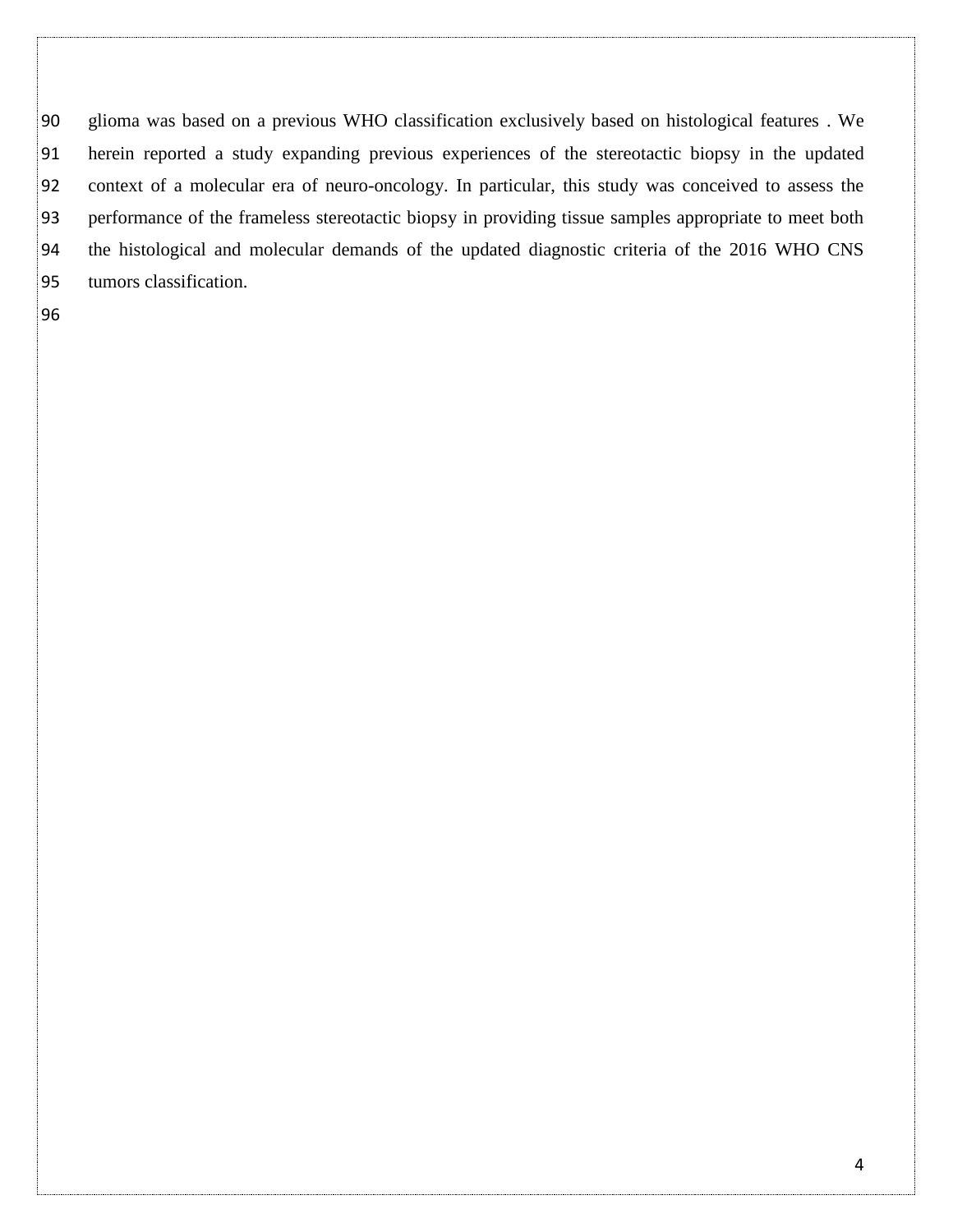glioma was based on a previous WHO classification exclusively based on histological features . We herein reported a study expanding previous experiences of the stereotactic biopsy in the updated context of a molecular era of neuro-oncology. In particular, this study was conceived to assess the performance of the frameless stereotactic biopsy in providing tissue samples appropriate to meet both the histological and molecular demands of the updated diagnostic criteria of the 2016 WHO CNS tumors classification.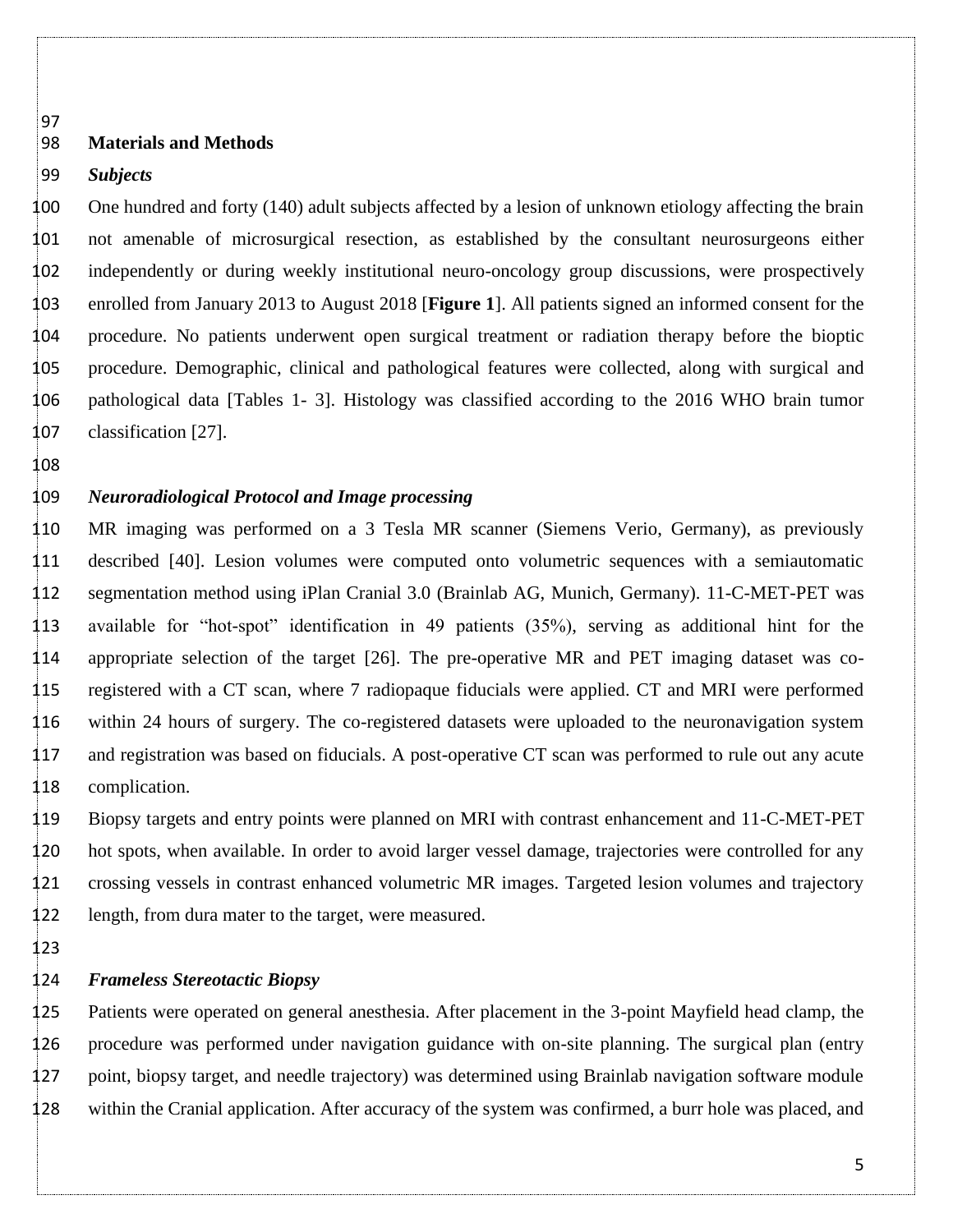# 

#### **Materials and Methods**

#### *Subjects*

 One hundred and forty (140) adult subjects affected by a lesion of unknown etiology affecting the brain not amenable of microsurgical resection, as established by the consultant neurosurgeons either independently or during weekly institutional neuro-oncology group discussions, were prospectively enrolled from January 2013 to August 2018 [**Figure 1**]. All patients signed an informed consent for the procedure. No patients underwent open surgical treatment or radiation therapy before the bioptic procedure. Demographic, clinical and pathological features were collected, along with surgical and pathological data [Tables 1- 3]. Histology was classified according to the 2016 WHO brain tumor classification [27].

# 

### *Neuroradiological Protocol and Image processing*

 MR imaging was performed on a 3 Tesla MR scanner (Siemens Verio, Germany), as previously described [40]. Lesion volumes were computed onto volumetric sequences with a semiautomatic segmentation method using iPlan Cranial 3.0 (Brainlab AG, Munich, Germany). 11-C-MET-PET was available for "hot-spot" identification in 49 patients (35%), serving as additional hint for the appropriate selection of the target [26]. The pre-operative MR and PET imaging dataset was co- registered with a CT scan, where 7 radiopaque fiducials were applied. CT and MRI were performed within 24 hours of surgery. The co-registered datasets were uploaded to the neuronavigation system and registration was based on fiducials. A post-operative CT scan was performed to rule out any acute complication.

 Biopsy targets and entry points were planned on MRI with contrast enhancement and 11-C-MET-PET hot spots, when available. In order to avoid larger vessel damage, trajectories were controlled for any crossing vessels in contrast enhanced volumetric MR images. Targeted lesion volumes and trajectory length, from dura mater to the target, were measured.

#### *Frameless Stereotactic Biopsy*

 Patients were operated on general anesthesia. After placement in the 3-point Mayfield head clamp, the procedure was performed under navigation guidance with on-site planning. The surgical plan (entry point, biopsy target, and needle trajectory) was determined using Brainlab navigation software module within the Cranial application. After accuracy of the system was confirmed, a burr hole was placed, and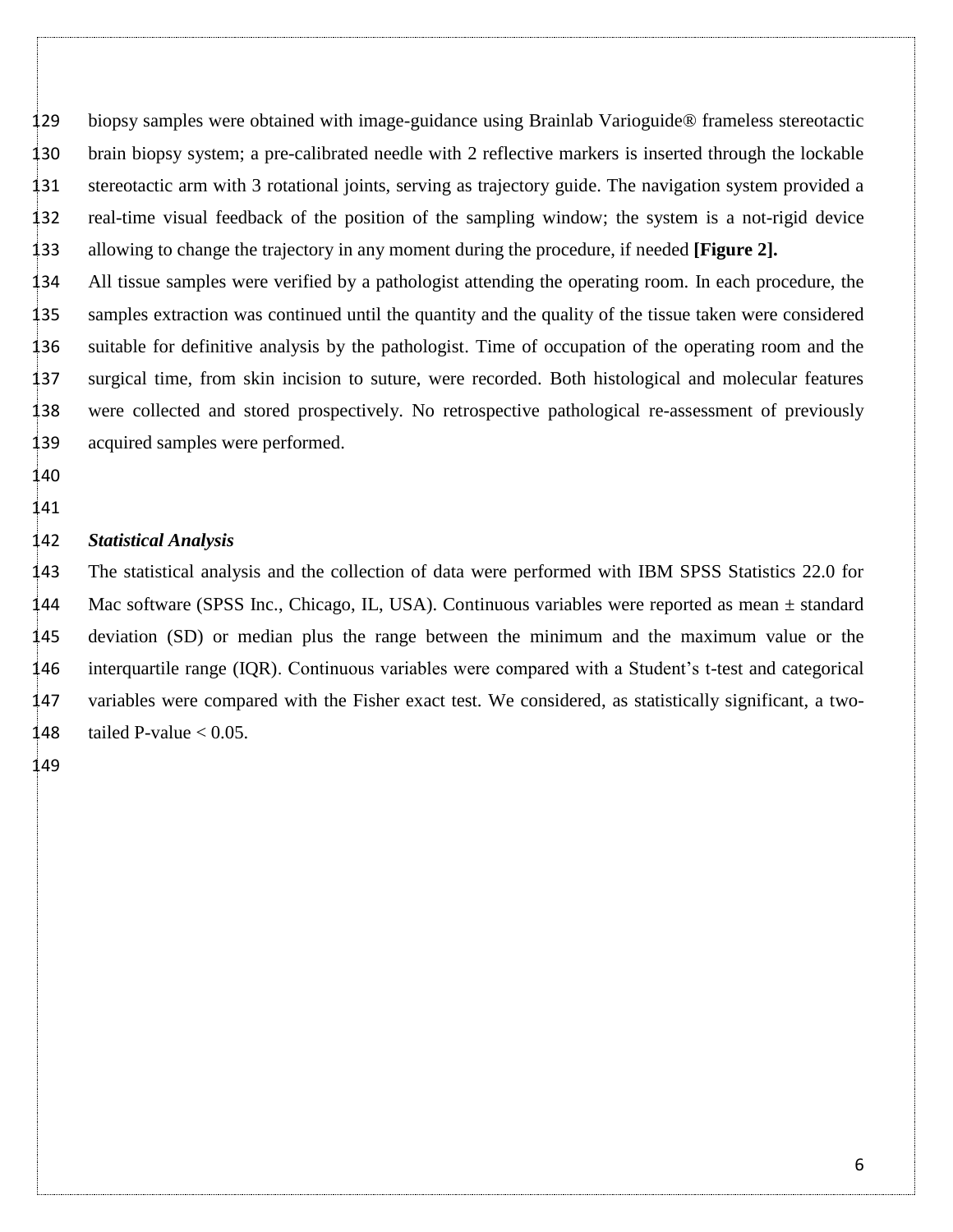biopsy samples were obtained with image-guidance using Brainlab Varioguide® frameless stereotactic brain biopsy system; a pre-calibrated needle with 2 reflective markers is inserted through the lockable stereotactic arm with 3 rotational joints, serving as trajectory guide. The navigation system provided a real-time visual feedback of the position of the sampling window; the system is a not-rigid device allowing to change the trajectory in any moment during the procedure, if needed **[Figure 2].**

 All tissue samples were verified by a pathologist attending the operating room. In each procedure, the samples extraction was continued until the quantity and the quality of the tissue taken were considered suitable for definitive analysis by the pathologist. Time of occupation of the operating room and the surgical time, from skin incision to suture, were recorded. Both histological and molecular features were collected and stored prospectively. No retrospective pathological re-assessment of previously acquired samples were performed.

 

# *Statistical Analysis*

 The statistical analysis and the collection of data were performed with IBM SPSS Statistics 22.0 for Mac software (SPSS Inc., Chicago, IL, USA). Continuous variables were reported as mean ± standard deviation (SD) or median plus the range between the minimum and the maximum value or the interquartile range (IQR). Continuous variables were compared with a Student's t-test and categorical variables were compared with the Fisher exact test. We considered, as statistically significant, a two-148 tailed P-value  $< 0.05$ .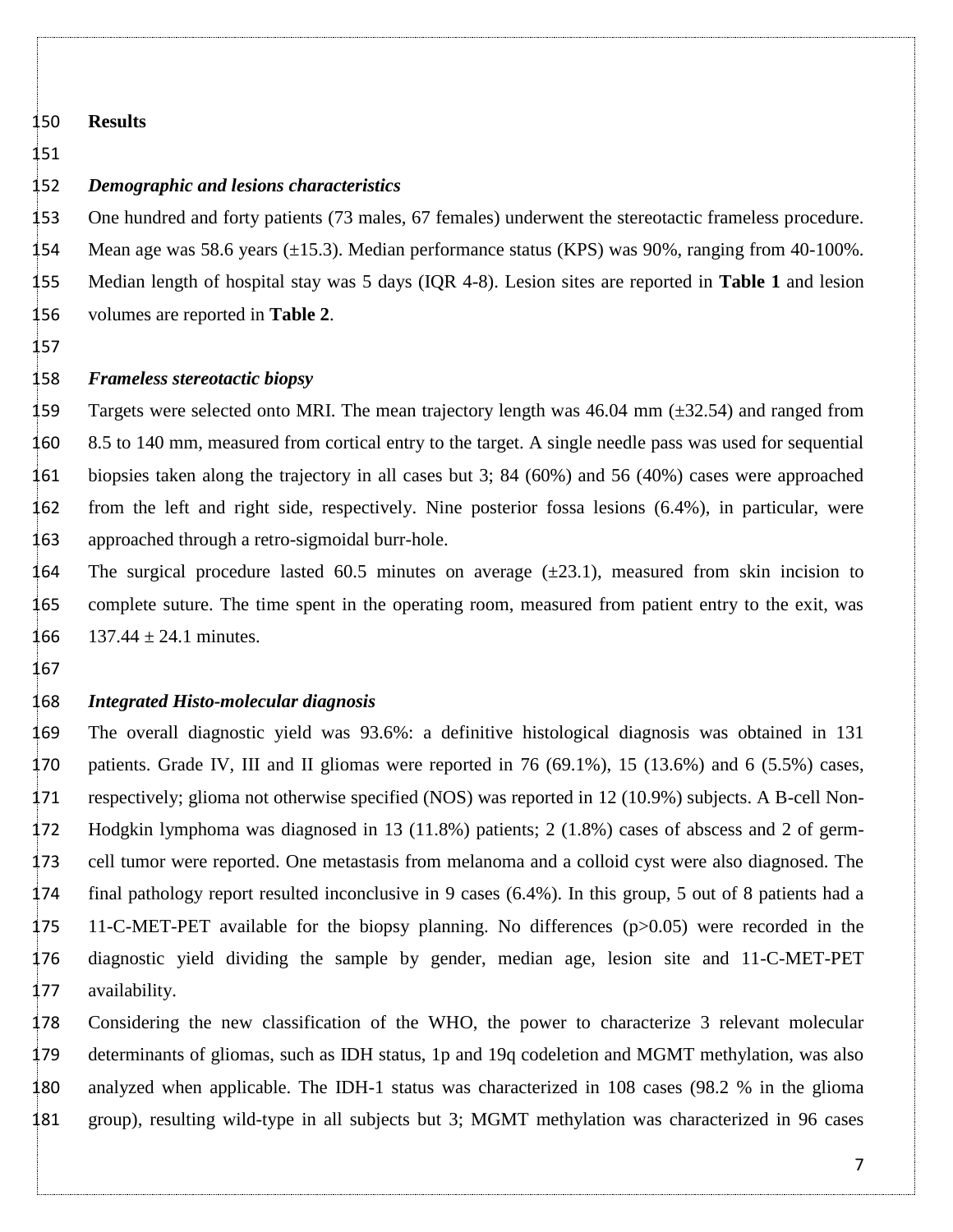#### **Results**

# 

#### *Demographic and lesions characteristics*

 One hundred and forty patients (73 males, 67 females) underwent the stereotactic frameless procedure. 154 Mean age was 58.6 years  $(\pm 15.3)$ . Median performance status (KPS) was 90%, ranging from 40-100%. Median length of hospital stay was 5 days (IQR 4-8). Lesion sites are reported in **Table 1** and lesion volumes are reported in **Table 2**.

#### 

#### *Frameless stereotactic biopsy*

159 Targets were selected onto MRI. The mean trajectory length was  $46.04$  mm ( $\pm$ 32.54) and ranged from 8.5 to 140 mm, measured from cortical entry to the target. A single needle pass was used for sequential biopsies taken along the trajectory in all cases but 3; 84 (60%) and 56 (40%) cases were approached from the left and right side, respectively. Nine posterior fossa lesions (6.4%), in particular, were approached through a retro-sigmoidal burr-hole.

164 The surgical procedure lasted 60.5 minutes on average  $(\pm 23.1)$ , measured from skin incision to complete suture. The time spent in the operating room, measured from patient entry to the exit, was 166  $137.44 \pm 24.1$  minutes.

### *Integrated Histo-molecular diagnosis*

 The overall diagnostic yield was 93.6%: a definitive histological diagnosis was obtained in 131 patients. Grade IV, III and II gliomas were reported in 76 (69.1%), 15 (13.6%) and 6 (5.5%) cases, respectively; glioma not otherwise specified (NOS) was reported in 12 (10.9%) subjects. A B-cell Non- Hodgkin lymphoma was diagnosed in 13 (11.8%) patients; 2 (1.8%) cases of abscess and 2 of germ- cell tumor were reported. One metastasis from melanoma and a colloid cyst were also diagnosed. The final pathology report resulted inconclusive in 9 cases (6.4%). In this group, 5 out of 8 patients had a 11-C-MET-PET available for the biopsy planning. No differences (p>0.05) were recorded in the diagnostic yield dividing the sample by gender, median age, lesion site and 11-C-MET-PET availability.

 Considering the new classification of the WHO, the power to characterize 3 relevant molecular determinants of gliomas, such as IDH status, 1p and 19q codeletion and MGMT methylation, was also analyzed when applicable. The IDH-1 status was characterized in 108 cases (98.2 % in the glioma group), resulting wild-type in all subjects but 3; MGMT methylation was characterized in 96 cases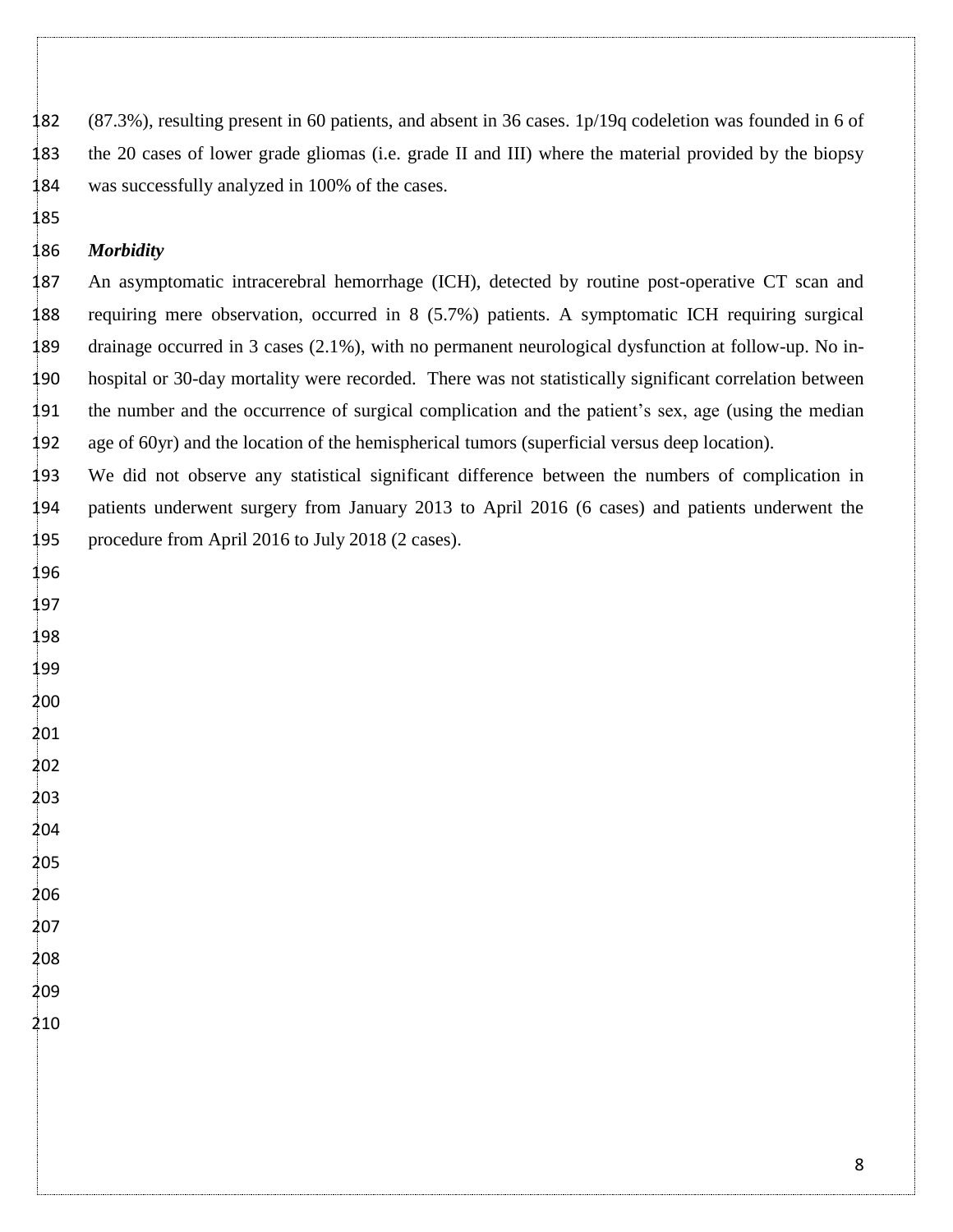(87.3%), resulting present in 60 patients, and absent in 36 cases. 1p/19q codeletion was founded in 6 of the 20 cases of lower grade gliomas (i.e. grade II and III) where the material provided by the biopsy was successfully analyzed in 100% of the cases.

### *Morbidity*

 An asymptomatic intracerebral hemorrhage (ICH), detected by routine post-operative CT scan and requiring mere observation, occurred in 8 (5.7%) patients. A symptomatic ICH requiring surgical drainage occurred in 3 cases (2.1%), with no permanent neurological dysfunction at follow-up. No in- hospital or 30-day mortality were recorded. There was not statistically significant correlation between the number and the occurrence of surgical complication and the patient's sex, age (using the median age of 60yr) and the location of the hemispherical tumors (superficial versus deep location).

 We did not observe any statistical significant difference between the numbers of complication in patients underwent surgery from January 2013 to April 2016 (6 cases) and patients underwent the procedure from April 2016 to July 2018 (2 cases).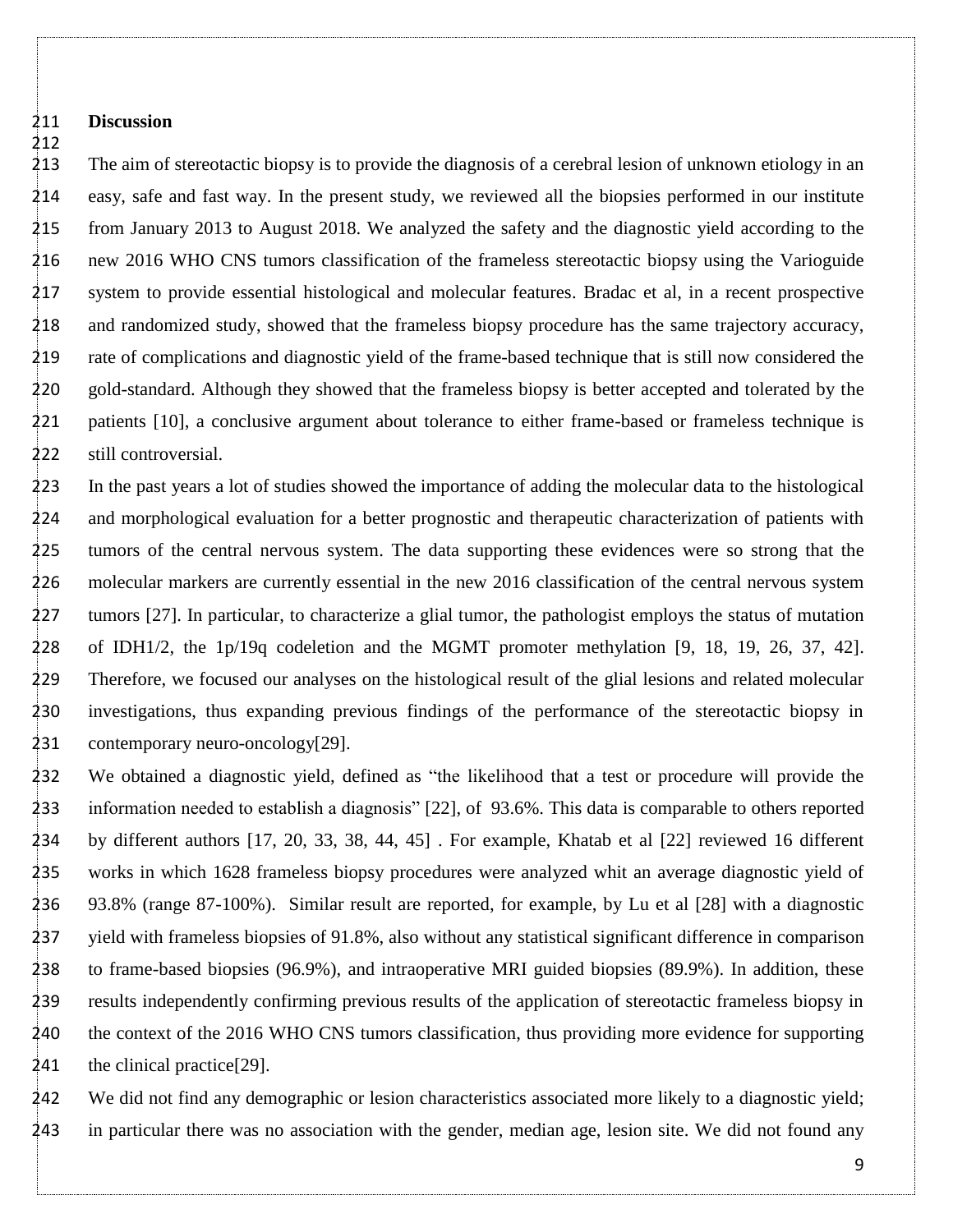#### **Discussion**

 The aim of stereotactic biopsy is to provide the diagnosis of a cerebral lesion of unknown etiology in an easy, safe and fast way. In the present study, we reviewed all the biopsies performed in our institute from January 2013 to August 2018. We analyzed the safety and the diagnostic yield according to the new 2016 WHO CNS tumors classification of the frameless stereotactic biopsy using the Varioguide system to provide essential histological and molecular features. Bradac et al, in a recent prospective and randomized study, showed that the frameless biopsy procedure has the same trajectory accuracy, rate of complications and diagnostic yield of the frame-based technique that is still now considered the gold-standard. Although they showed that the frameless biopsy is better accepted and tolerated by the 221 patients [10], a conclusive argument about tolerance to either frame-based or frameless technique is still controversial.

 In the past years a lot of studies showed the importance of adding the molecular data to the histological and morphological evaluation for a better prognostic and therapeutic characterization of patients with tumors of the central nervous system. The data supporting these evidences were so strong that the molecular markers are currently essential in the new 2016 classification of the central nervous system 227 tumors [27]. In particular, to characterize a glial tumor, the pathologist employs the status of mutation of IDH1/2, the 1p/19q codeletion and the MGMT promoter methylation [9, 18, 19, 26, 37, 42]. Therefore, we focused our analyses on the histological result of the glial lesions and related molecular investigations, thus expanding previous findings of the performance of the stereotactic biopsy in contemporary neuro-oncology[29].

 We obtained a diagnostic yield, defined as "the likelihood that a test or procedure will provide the information needed to establish a diagnosis" [22], of 93.6%. This data is comparable to others reported by different authors [17, 20, 33, 38, 44, 45] . For example, Khatab et al [22] reviewed 16 different works in which 1628 frameless biopsy procedures were analyzed whit an average diagnostic yield of 93.8% (range 87-100%). Similar result are reported, for example, by Lu et al [28] with a diagnostic yield with frameless biopsies of 91.8%, also without any statistical significant difference in comparison to frame-based biopsies (96.9%), and intraoperative MRI guided biopsies (89.9%). In addition, these results independently confirming previous results of the application of stereotactic frameless biopsy in the context of the 2016 WHO CNS tumors classification, thus providing more evidence for supporting 241 the clinical practice<sup>[29]</sup>.

 We did not find any demographic or lesion characteristics associated more likely to a diagnostic yield; in particular there was no association with the gender, median age, lesion site. We did not found any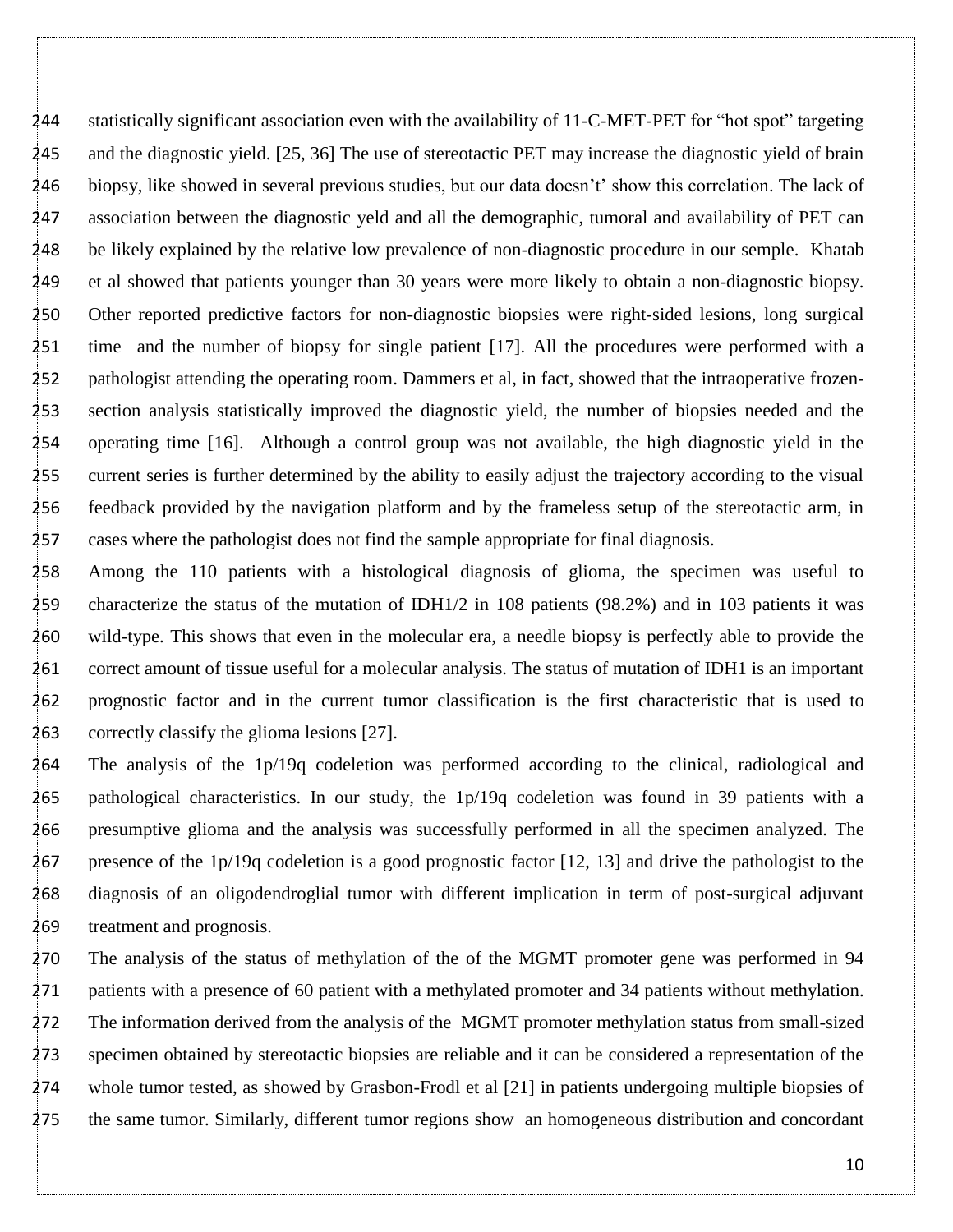statistically significant association even with the availability of 11-C-MET-PET for "hot spot" targeting and the diagnostic yield. [25, 36] The use of stereotactic PET may increase the diagnostic yield of brain biopsy, like showed in several previous studies, but our data doesn't' show this correlation. The lack of association between the diagnostic yeld and all the demographic, tumoral and availability of PET can be likely explained by the relative low prevalence of non-diagnostic procedure in our semple. Khatab et al showed that patients younger than 30 years were more likely to obtain a non-diagnostic biopsy. Other reported predictive factors for non-diagnostic biopsies were right-sided lesions, long surgical time and the number of biopsy for single patient [17]. All the procedures were performed with a 252 pathologist attending the operating room. Dammers et al, in fact, showed that the intraoperative frozen- section analysis statistically improved the diagnostic yield, the number of biopsies needed and the operating time [16]. Although a control group was not available, the high diagnostic yield in the current series is further determined by the ability to easily adjust the trajectory according to the visual feedback provided by the navigation platform and by the frameless setup of the stereotactic arm, in cases where the pathologist does not find the sample appropriate for final diagnosis.

 Among the 110 patients with a histological diagnosis of glioma, the specimen was useful to characterize the status of the mutation of IDH1/2 in 108 patients (98.2%) and in 103 patients it was wild-type. This shows that even in the molecular era, a needle biopsy is perfectly able to provide the correct amount of tissue useful for a molecular analysis. The status of mutation of IDH1 is an important prognostic factor and in the current tumor classification is the first characteristic that is used to correctly classify the glioma lesions [27].

 The analysis of the 1p/19q codeletion was performed according to the clinical, radiological and pathological characteristics. In our study, the 1p/19q codeletion was found in 39 patients with a presumptive glioma and the analysis was successfully performed in all the specimen analyzed. The presence of the 1p/19q codeletion is a good prognostic factor [12, 13] and drive the pathologist to the diagnosis of an oligodendroglial tumor with different implication in term of post-surgical adjuvant treatment and prognosis.

 The analysis of the status of methylation of the of the MGMT promoter gene was performed in 94 patients with a presence of 60 patient with a methylated promoter and 34 patients without methylation. The information derived from the analysis of the MGMT promoter methylation status from small-sized specimen obtained by stereotactic biopsies are reliable and it can be considered a representation of the whole tumor tested, as showed by Grasbon-Frodl et al [21] in patients undergoing multiple biopsies of the same tumor. Similarly, different tumor regions show an homogeneous distribution and concordant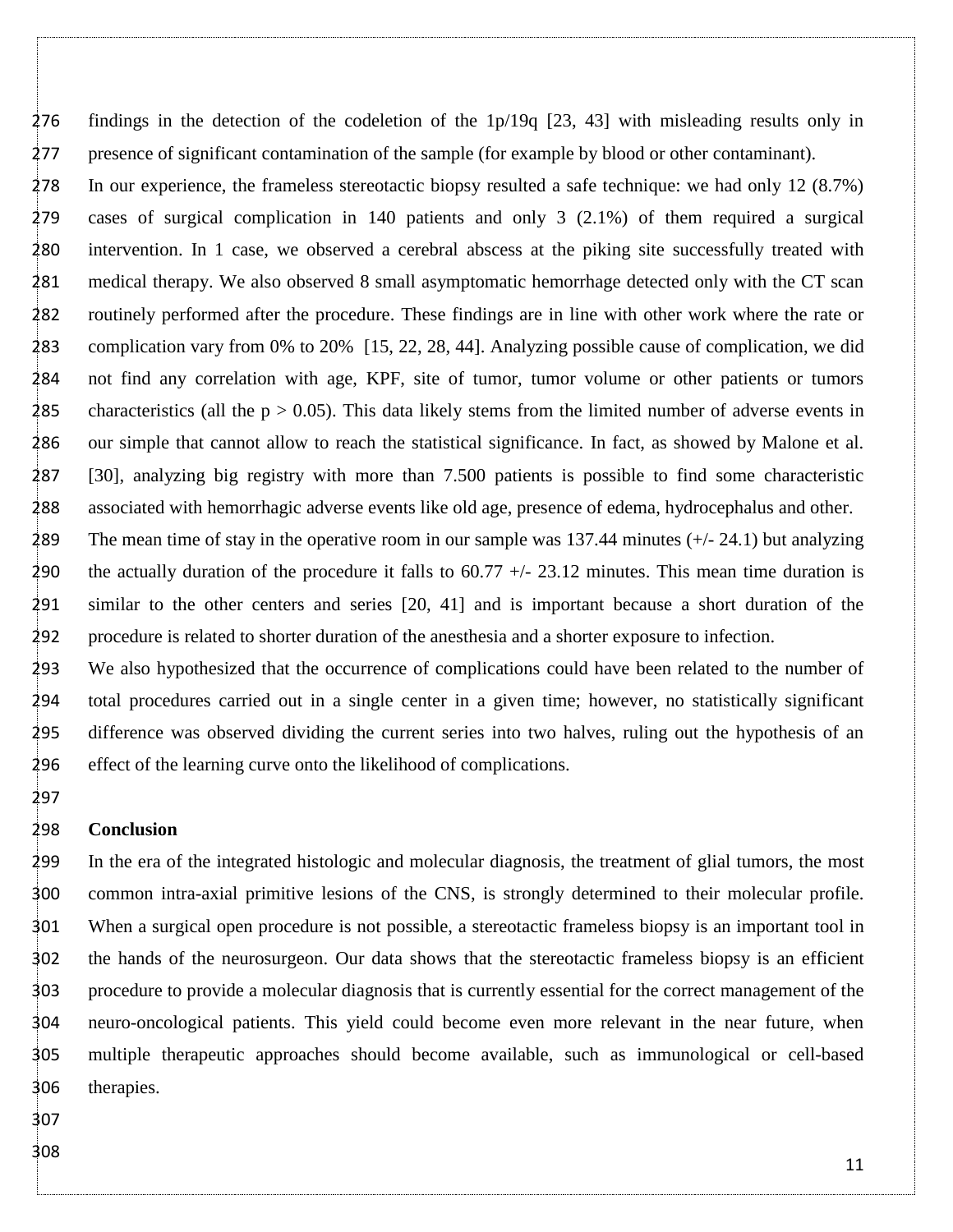findings in the detection of the codeletion of the 1p/19q [23, 43] with misleading results only in presence of significant contamination of the sample (for example by blood or other contaminant).

 In our experience, the frameless stereotactic biopsy resulted a safe technique: we had only 12 (8.7%) cases of surgical complication in 140 patients and only 3 (2.1%) of them required a surgical intervention. In 1 case, we observed a cerebral abscess at the piking site successfully treated with medical therapy. We also observed 8 small asymptomatic hemorrhage detected only with the CT scan routinely performed after the procedure. These findings are in line with other work where the rate or complication vary from 0% to 20% [15, 22, 28, 44]. Analyzing possible cause of complication, we did not find any correlation with age, KPF, site of tumor, tumor volume or other patients or tumors 285 characteristics (all the  $p > 0.05$ ). This data likely stems from the limited number of adverse events in our simple that cannot allow to reach the statistical significance. In fact, as showed by Malone et al. [30], analyzing big registry with more than 7.500 patients is possible to find some characteristic associated with hemorrhagic adverse events like old age, presence of edema, hydrocephalus and other.

 The mean time of stay in the operative room in our sample was 137.44 minutes (+/- 24.1) but analyzing 290 the actually duration of the procedure it falls to  $60.77 +/- 23.12$  minutes. This mean time duration is similar to the other centers and series [20, 41] and is important because a short duration of the procedure is related to shorter duration of the anesthesia and a shorter exposure to infection.

 We also hypothesized that the occurrence of complications could have been related to the number of total procedures carried out in a single center in a given time; however, no statistically significant difference was observed dividing the current series into two halves, ruling out the hypothesis of an effect of the learning curve onto the likelihood of complications.

#### **Conclusion**

 In the era of the integrated histologic and molecular diagnosis, the treatment of glial tumors, the most common intra-axial primitive lesions of the CNS, is strongly determined to their molecular profile. When a surgical open procedure is not possible, a stereotactic frameless biopsy is an important tool in the hands of the neurosurgeon. Our data shows that the stereotactic frameless biopsy is an efficient procedure to provide a molecular diagnosis that is currently essential for the correct management of the neuro-oncological patients. This yield could become even more relevant in the near future, when multiple therapeutic approaches should become available, such as immunological or cell-based therapies.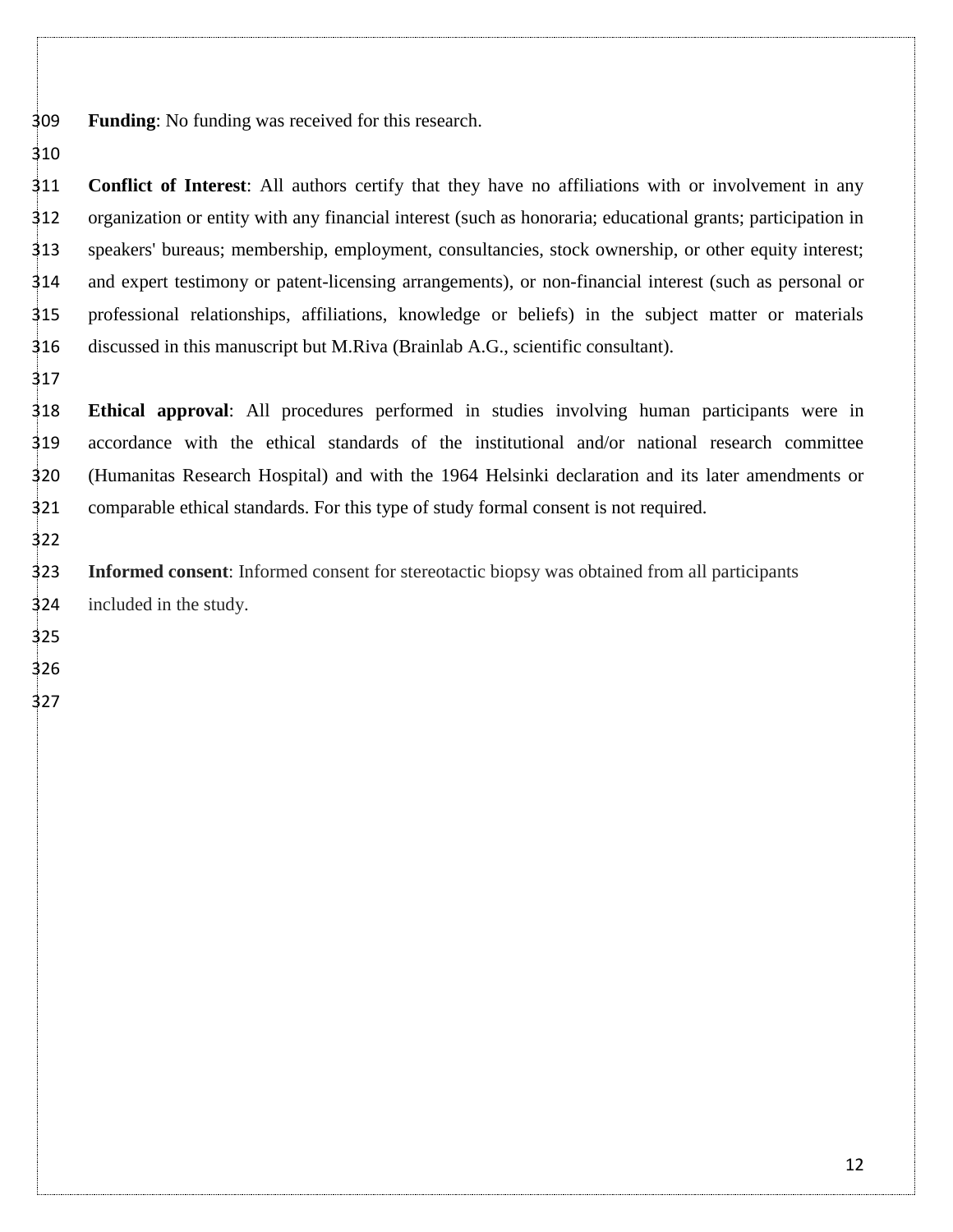**Funding**: No funding was received for this research.

 **Conflict of Interest**: All authors certify that they have no affiliations with or involvement in any organization or entity with any financial interest (such as honoraria; educational grants; participation in speakers' bureaus; membership, employment, consultancies, stock ownership, or other equity interest; and expert testimony or patent-licensing arrangements), or non-financial interest (such as personal or professional relationships, affiliations, knowledge or beliefs) in the subject matter or materials discussed in this manuscript but M.Riva (Brainlab A.G., scientific consultant).

 **Ethical approval**: All procedures performed in studies involving human participants were in accordance with the ethical standards of the institutional and/or national research committee (Humanitas Research Hospital) and with the 1964 Helsinki declaration and its later amendments or comparable ethical standards. For this type of study formal consent is not required.

 **Informed consent**: Informed consent for stereotactic biopsy was obtained from all participants included in the study.

- 
-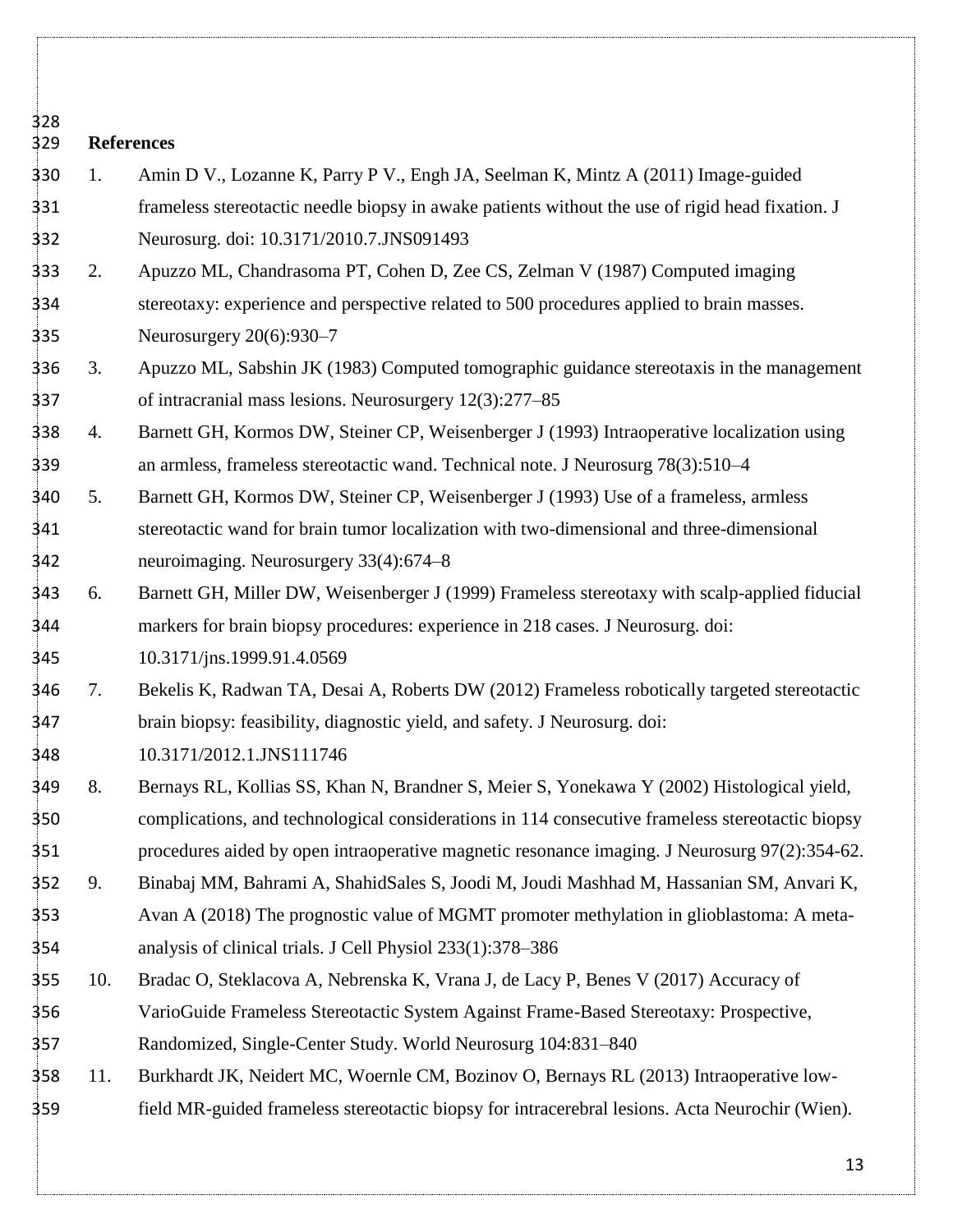**References**  1. Amin D V., Lozanne K, Parry P V., Engh JA, Seelman K, Mintz A (2011) Image-guided frameless stereotactic needle biopsy in awake patients without the use of rigid head fixation. J Neurosurg. doi: 10.3171/2010.7.JNS091493 2. Apuzzo ML, Chandrasoma PT, Cohen D, Zee CS, Zelman V (1987) Computed imaging stereotaxy: experience and perspective related to 500 procedures applied to brain masses. Neurosurgery 20(6):930–7 3. Apuzzo ML, Sabshin JK (1983) Computed tomographic guidance stereotaxis in the management of intracranial mass lesions. Neurosurgery 12(3):277–85 4. Barnett GH, Kormos DW, Steiner CP, Weisenberger J (1993) Intraoperative localization using an armless, frameless stereotactic wand. Technical note. J Neurosurg 78(3):510–4 5. Barnett GH, Kormos DW, Steiner CP, Weisenberger J (1993) Use of a frameless, armless stereotactic wand for brain tumor localization with two-dimensional and three-dimensional neuroimaging. Neurosurgery 33(4):674–8 6. Barnett GH, Miller DW, Weisenberger J (1999) Frameless stereotaxy with scalp-applied fiducial markers for brain biopsy procedures: experience in 218 cases. J Neurosurg. doi: 10.3171/jns.1999.91.4.0569 7. Bekelis K, Radwan TA, Desai A, Roberts DW (2012) Frameless robotically targeted stereotactic brain biopsy: feasibility, diagnostic yield, and safety. J Neurosurg. doi: 10.3171/2012.1.JNS111746 8. Bernays RL, Kollias SS, Khan N, Brandner S, Meier S, Yonekawa Y (2002) Histological yield, complications, and technological considerations in 114 consecutive frameless stereotactic biopsy procedures aided by open intraoperative magnetic resonance imaging. J Neurosurg 97(2):354-62. 9. Binabaj MM, Bahrami A, ShahidSales S, Joodi M, Joudi Mashhad M, Hassanian SM, Anvari K, Avan A (2018) The prognostic value of MGMT promoter methylation in glioblastoma: A meta- analysis of clinical trials. J Cell Physiol 233(1):378–386 10. Bradac O, Steklacova A, Nebrenska K, Vrana J, de Lacy P, Benes V (2017) Accuracy of VarioGuide Frameless Stereotactic System Against Frame-Based Stereotaxy: Prospective, Randomized, Single-Center Study. World Neurosurg 104:831–840

 11. Burkhardt JK, Neidert MC, Woernle CM, Bozinov O, Bernays RL (2013) Intraoperative low-field MR-guided frameless stereotactic biopsy for intracerebral lesions. Acta Neurochir (Wien).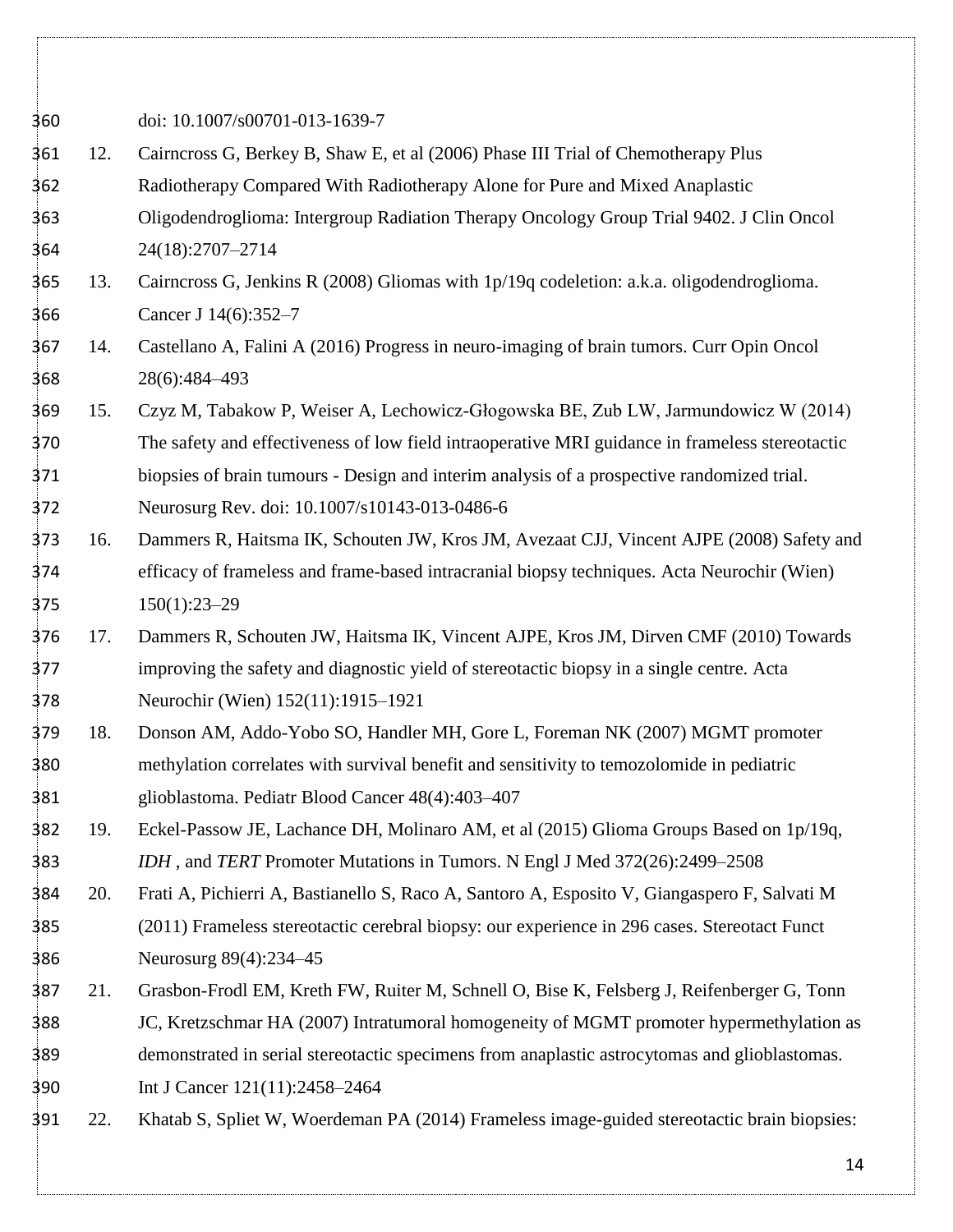doi: 10.1007/s00701-013-1639-7 12. Cairncross G, Berkey B, Shaw E, et al (2006) Phase III Trial of Chemotherapy Plus Radiotherapy Compared With Radiotherapy Alone for Pure and Mixed Anaplastic Oligodendroglioma: Intergroup Radiation Therapy Oncology Group Trial 9402. J Clin Oncol 24(18):2707–2714 13. Cairncross G, Jenkins R (2008) Gliomas with 1p/19q codeletion: a.k.a. oligodendroglioma. Cancer J 14(6):352–7 14. Castellano A, Falini A (2016) Progress in neuro-imaging of brain tumors. Curr Opin Oncol 28(6):484–493 15. Czyz M, Tabakow P, Weiser A, Lechowicz-Głogowska BE, Zub LW, Jarmundowicz W (2014) The safety and effectiveness of low field intraoperative MRI guidance in frameless stereotactic biopsies of brain tumours - Design and interim analysis of a prospective randomized trial. Neurosurg Rev. doi: 10.1007/s10143-013-0486-6 16. Dammers R, Haitsma IK, Schouten JW, Kros JM, Avezaat CJJ, Vincent AJPE (2008) Safety and efficacy of frameless and frame-based intracranial biopsy techniques. Acta Neurochir (Wien) 150(1):23–29 17. Dammers R, Schouten JW, Haitsma IK, Vincent AJPE, Kros JM, Dirven CMF (2010) Towards improving the safety and diagnostic yield of stereotactic biopsy in a single centre. Acta Neurochir (Wien) 152(11):1915–1921 18. Donson AM, Addo-Yobo SO, Handler MH, Gore L, Foreman NK (2007) MGMT promoter methylation correlates with survival benefit and sensitivity to temozolomide in pediatric glioblastoma. Pediatr Blood Cancer 48(4):403–407 19. Eckel-Passow JE, Lachance DH, Molinaro AM, et al (2015) Glioma Groups Based on 1p/19q, *IDH* , and *TERT* Promoter Mutations in Tumors. N Engl J Med 372(26):2499–2508 20. Frati A, Pichierri A, Bastianello S, Raco A, Santoro A, Esposito V, Giangaspero F, Salvati M (2011) Frameless stereotactic cerebral biopsy: our experience in 296 cases. Stereotact Funct Neurosurg 89(4):234–45 21. Grasbon-Frodl EM, Kreth FW, Ruiter M, Schnell O, Bise K, Felsberg J, Reifenberger G, Tonn JC, Kretzschmar HA (2007) Intratumoral homogeneity of MGMT promoter hypermethylation as demonstrated in serial stereotactic specimens from anaplastic astrocytomas and glioblastomas. Int J Cancer 121(11):2458–2464 22. Khatab S, Spliet W, Woerdeman PA (2014) Frameless image-guided stereotactic brain biopsies: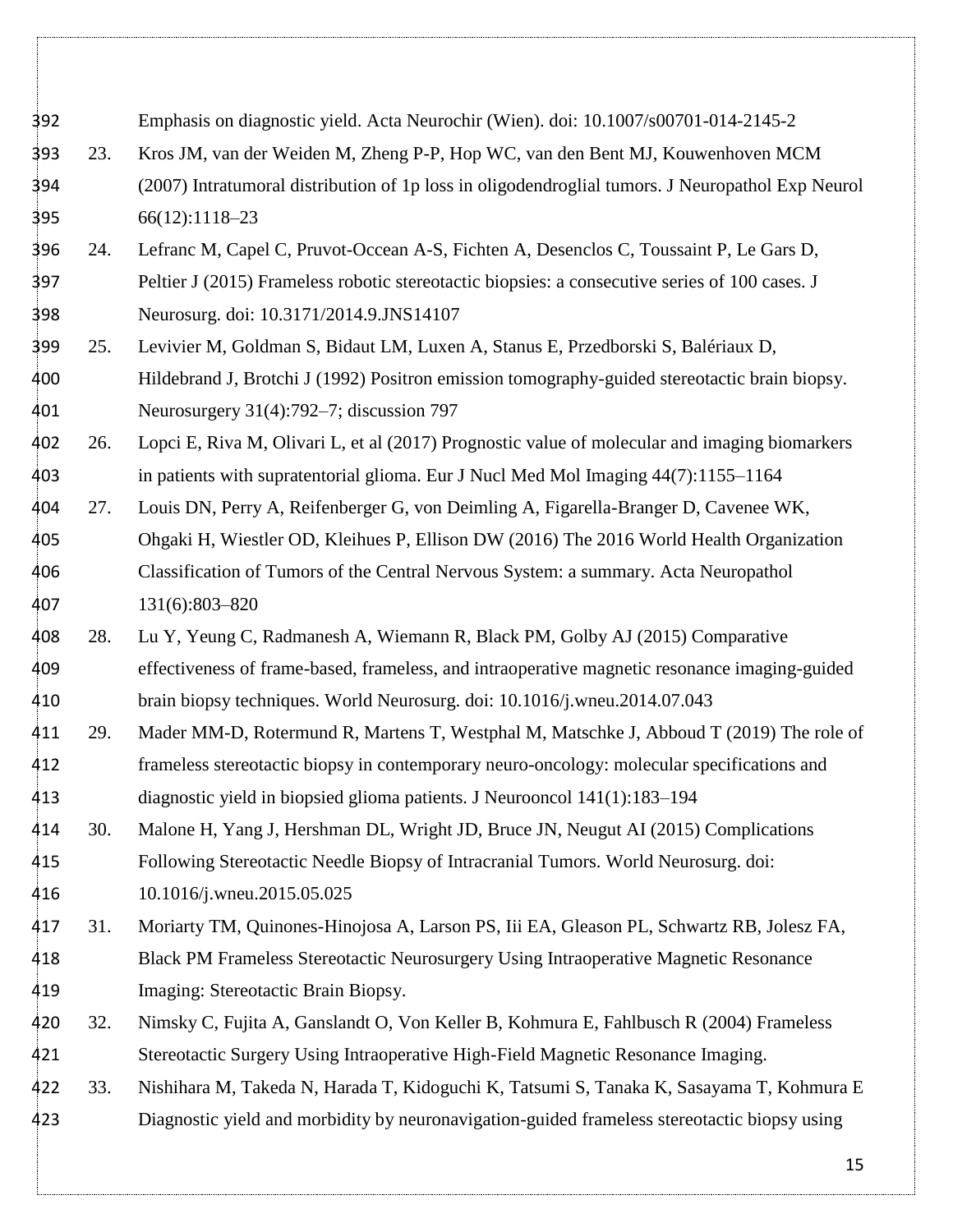Emphasis on diagnostic yield. Acta Neurochir (Wien). doi: 10.1007/s00701-014-2145-2 23. Kros JM, van der Weiden M, Zheng P-P, Hop WC, van den Bent MJ, Kouwenhoven MCM (2007) Intratumoral distribution of 1p loss in oligodendroglial tumors. J Neuropathol Exp Neurol 66(12):1118–23 24. Lefranc M, Capel C, Pruvot-Occean A-S, Fichten A, Desenclos C, Toussaint P, Le Gars D, Peltier J (2015) Frameless robotic stereotactic biopsies: a consecutive series of 100 cases. J Neurosurg. doi: 10.3171/2014.9.JNS14107 25. Levivier M, Goldman S, Bidaut LM, Luxen A, Stanus E, Przedborski S, Balériaux D, Hildebrand J, Brotchi J (1992) Positron emission tomography-guided stereotactic brain biopsy. Neurosurgery 31(4):792–7; discussion 797 26. Lopci E, Riva M, Olivari L, et al (2017) Prognostic value of molecular and imaging biomarkers in patients with supratentorial glioma. Eur J Nucl Med Mol Imaging 44(7):1155–1164 27. Louis DN, Perry A, Reifenberger G, von Deimling A, Figarella-Branger D, Cavenee WK, Ohgaki H, Wiestler OD, Kleihues P, Ellison DW (2016) The 2016 World Health Organization Classification of Tumors of the Central Nervous System: a summary. Acta Neuropathol 131(6):803–820 28. Lu Y, Yeung C, Radmanesh A, Wiemann R, Black PM, Golby AJ (2015) Comparative effectiveness of frame-based, frameless, and intraoperative magnetic resonance imaging-guided brain biopsy techniques. World Neurosurg. doi: 10.1016/j.wneu.2014.07.043 29. Mader MM-D, Rotermund R, Martens T, Westphal M, Matschke J, Abboud T (2019) The role of frameless stereotactic biopsy in contemporary neuro-oncology: molecular specifications and diagnostic yield in biopsied glioma patients. J Neurooncol 141(1):183–194 30. Malone H, Yang J, Hershman DL, Wright JD, Bruce JN, Neugut AI (2015) Complications Following Stereotactic Needle Biopsy of Intracranial Tumors. World Neurosurg. doi: 10.1016/j.wneu.2015.05.025 31. Moriarty TM, Quinones-Hinojosa A, Larson PS, Iii EA, Gleason PL, Schwartz RB, Jolesz FA, Black PM Frameless Stereotactic Neurosurgery Using Intraoperative Magnetic Resonance Imaging: Stereotactic Brain Biopsy. 32. Nimsky C, Fujita A, Ganslandt O, Von Keller B, Kohmura E, Fahlbusch R (2004) Frameless Stereotactic Surgery Using Intraoperative High-Field Magnetic Resonance Imaging. 33. Nishihara M, Takeda N, Harada T, Kidoguchi K, Tatsumi S, Tanaka K, Sasayama T, Kohmura E Diagnostic yield and morbidity by neuronavigation-guided frameless stereotactic biopsy using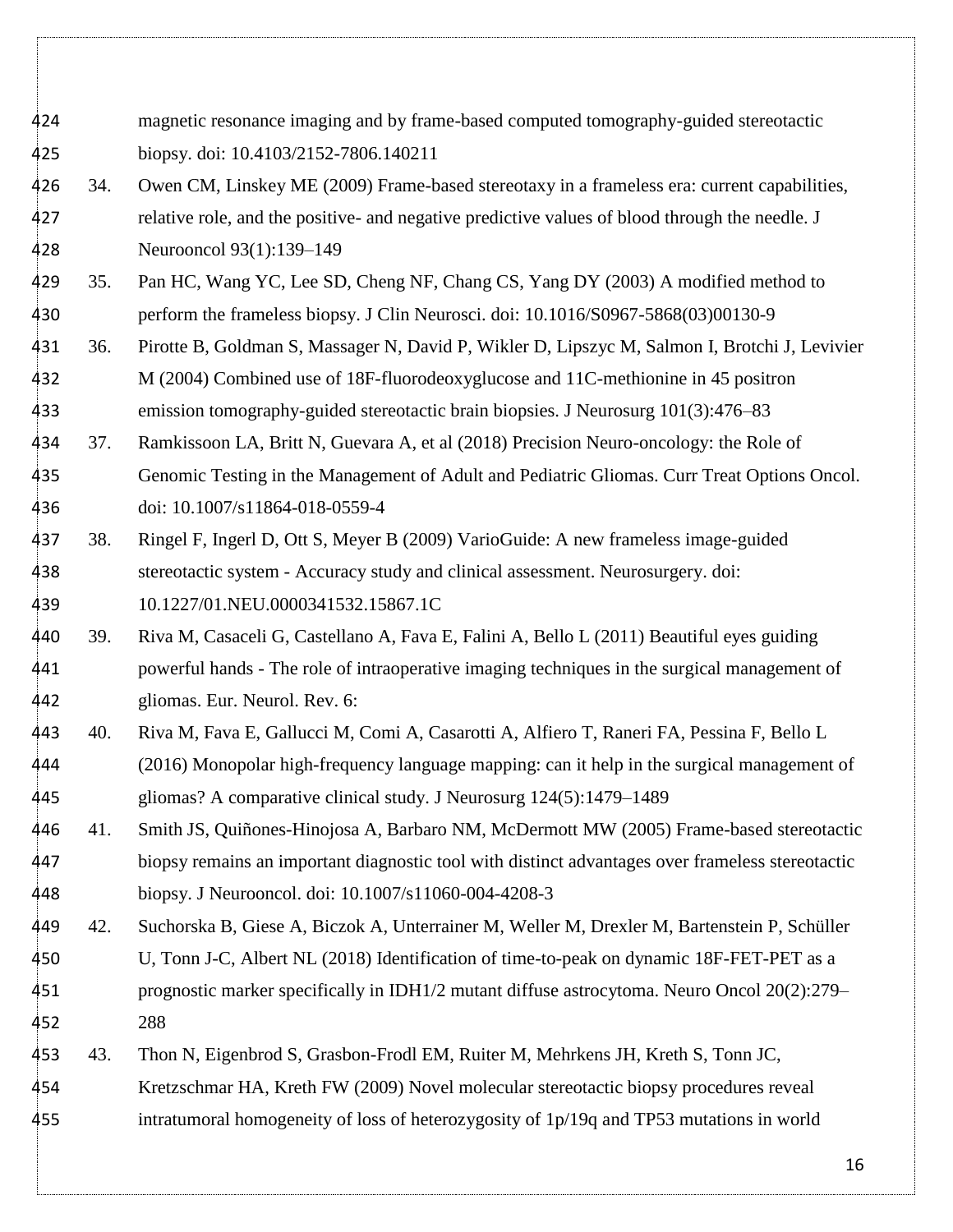| 424 |     | magnetic resonance imaging and by frame-based computed tomography-guided stereotactic            |
|-----|-----|--------------------------------------------------------------------------------------------------|
| 425 |     | biopsy. doi: 10.4103/2152-7806.140211                                                            |
| 426 | 34. | Owen CM, Linskey ME (2009) Frame-based stereotaxy in a frameless era: current capabilities,      |
| 427 |     | relative role, and the positive- and negative predictive values of blood through the needle. J   |
| 428 |     | Neurooncol 93(1):139-149                                                                         |
| 429 | 35. | Pan HC, Wang YC, Lee SD, Cheng NF, Chang CS, Yang DY (2003) A modified method to                 |
| 430 |     | perform the frameless biopsy. J Clin Neurosci. doi: 10.1016/S0967-5868(03)00130-9                |
| 431 | 36. | Pirotte B, Goldman S, Massager N, David P, Wikler D, Lipszyc M, Salmon I, Brotchi J, Levivier    |
| 432 |     | M (2004) Combined use of 18F-fluorodeoxyglucose and 11C-methionine in 45 positron                |
| 433 |     | emission tomography-guided stereotactic brain biopsies. J Neurosurg 101(3):476–83                |
| 434 | 37. | Ramkissoon LA, Britt N, Guevara A, et al (2018) Precision Neuro-oncology: the Role of            |
| 435 |     | Genomic Testing in the Management of Adult and Pediatric Gliomas. Curr Treat Options Oncol.      |
| 436 |     | doi: 10.1007/s11864-018-0559-4                                                                   |
| 437 | 38. | Ringel F, Ingerl D, Ott S, Meyer B (2009) VarioGuide: A new frameless image-guided               |
| 438 |     | stereotactic system - Accuracy study and clinical assessment. Neurosurgery. doi:                 |
| 439 |     | 10.1227/01.NEU.0000341532.15867.1C                                                               |
| 440 | 39. | Riva M, Casaceli G, Castellano A, Fava E, Falini A, Bello L (2011) Beautiful eyes guiding        |
| 441 |     | powerful hands - The role of intraoperative imaging techniques in the surgical management of     |
| 442 |     | gliomas. Eur. Neurol. Rev. 6:                                                                    |
| 443 | 40. | Riva M, Fava E, Gallucci M, Comi A, Casarotti A, Alfiero T, Raneri FA, Pessina F, Bello L        |
| 444 |     | (2016) Monopolar high-frequency language mapping: can it help in the surgical management of      |
| 445 |     | gliomas? A comparative clinical study. J Neurosurg 124(5):1479-1489                              |
| 446 | 41. | Smith JS, Quiñones-Hinojosa A, Barbaro NM, McDermott MW (2005) Frame-based stereotactic          |
| 447 |     | biopsy remains an important diagnostic tool with distinct advantages over frameless stereotactic |
| 448 |     | biopsy. J Neurooncol. doi: 10.1007/s11060-004-4208-3                                             |
| 449 | 42. | Suchorska B, Giese A, Biczok A, Unterrainer M, Weller M, Drexler M, Bartenstein P, Schüller      |
| 450 |     | U, Tonn J-C, Albert NL (2018) Identification of time-to-peak on dynamic 18F-FET-PET as a         |
| 451 |     | prognostic marker specifically in IDH1/2 mutant diffuse astrocytoma. Neuro Oncol 20(2):279–      |
| 452 |     | 288                                                                                              |
| 453 | 43. | Thon N, Eigenbrod S, Grasbon-Frodl EM, Ruiter M, Mehrkens JH, Kreth S, Tonn JC,                  |
| 454 |     | Kretzschmar HA, Kreth FW (2009) Novel molecular stereotactic biopsy procedures reveal            |
| 455 |     | intratumoral homogeneity of loss of heterozygosity of 1p/19q and TP53 mutations in world         |
|     |     |                                                                                                  |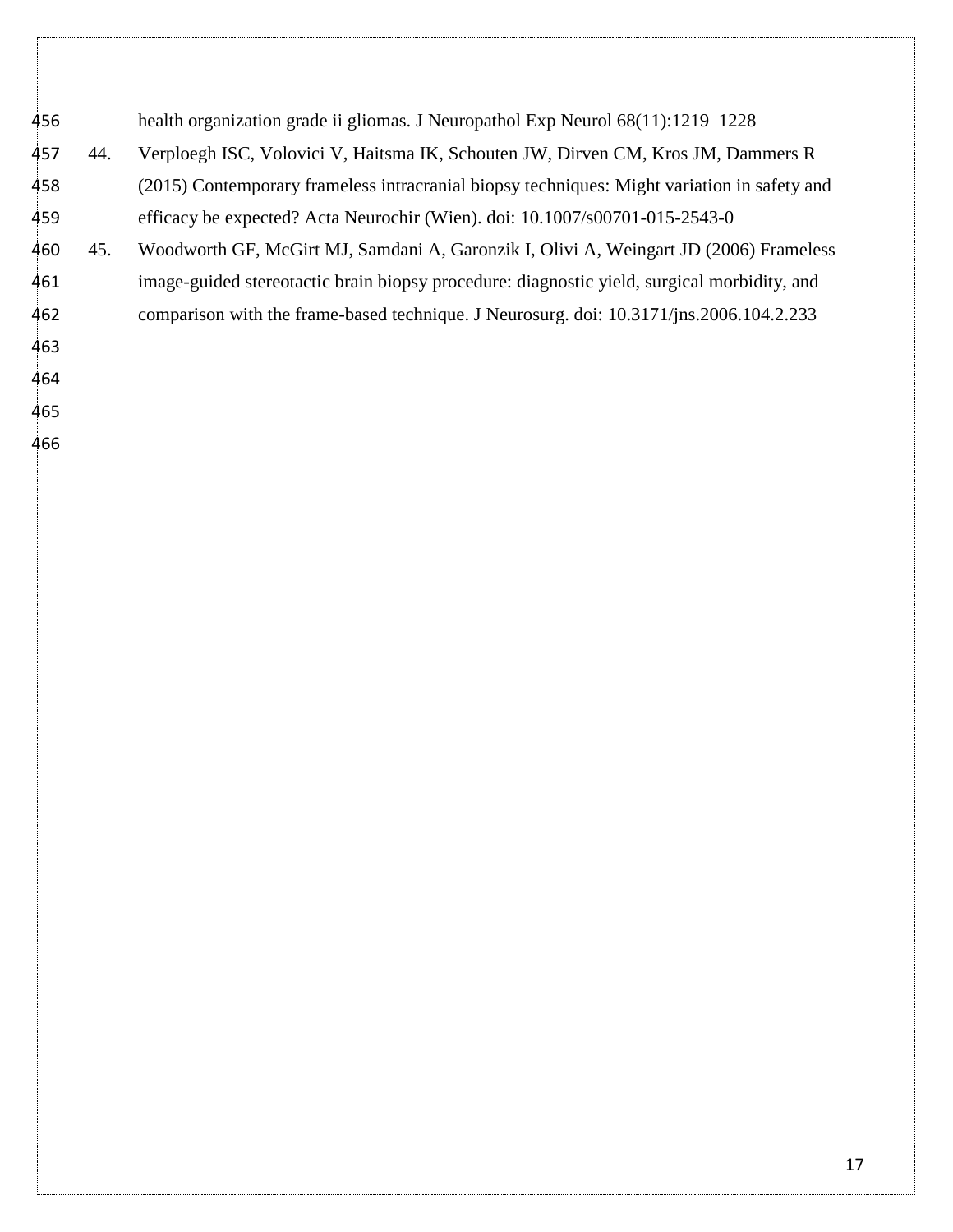| 456 |     | health organization grade ii gliomas. J Neuropathol Exp Neurol $68(11):1219-1228$           |
|-----|-----|---------------------------------------------------------------------------------------------|
| 457 | 44. | Verploegh ISC, Volovici V, Haitsma IK, Schouten JW, Dirven CM, Kros JM, Dammers R           |
| 458 |     | (2015) Contemporary frameless intracranial biopsy techniques: Might variation in safety and |
| 459 |     | efficacy be expected? Acta Neurochir (Wien). doi: 10.1007/s00701-015-2543-0                 |
| 460 | 45. | Woodworth GF, McGirt MJ, Samdani A, Garonzik I, Olivi A, Weingart JD (2006) Frameless       |
| 461 |     | image-guided stereotactic brain biopsy procedure: diagnostic yield, surgical morbidity, and |
| 462 |     | comparison with the frame-based technique. J Neurosurg. doi: 10.3171/jns.2006.104.2.233     |
| 463 |     |                                                                                             |
| 464 |     |                                                                                             |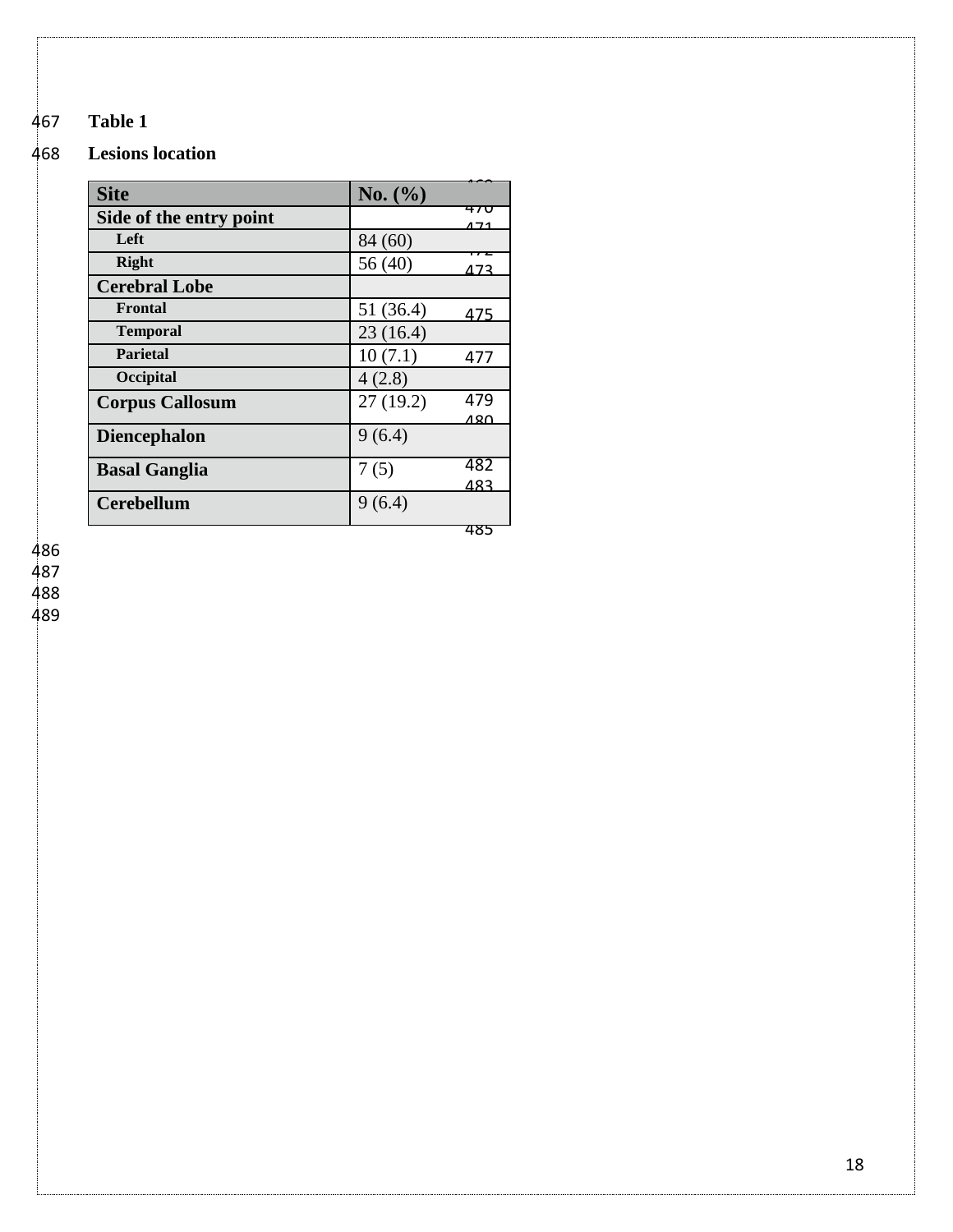# **Table 1**

### **Lesions location**

| <b>Site</b>             | No. (%)          |
|-------------------------|------------------|
| Side of the entry point | 470<br>171       |
| Left                    | 84 (60)          |
| Right                   | 56 (40)<br>473   |
| <b>Cerebral Lobe</b>    |                  |
| Frontal                 | 51 (36.4)<br>475 |
| <b>Temporal</b>         | 23(16.4)         |
| <b>Parietal</b>         | 10(7.1)<br>477   |
| Occipital               | 4(2.8)           |
| <b>Corpus Callosum</b>  | 479<br>27(19.2)  |
|                         | 480              |
| <b>Diencephalon</b>     | 9(6.4)           |
| <b>Basal Ganglia</b>    | 482<br>7(5)      |
|                         | 483              |
| <b>Cerebellum</b>       | 9(6.4)           |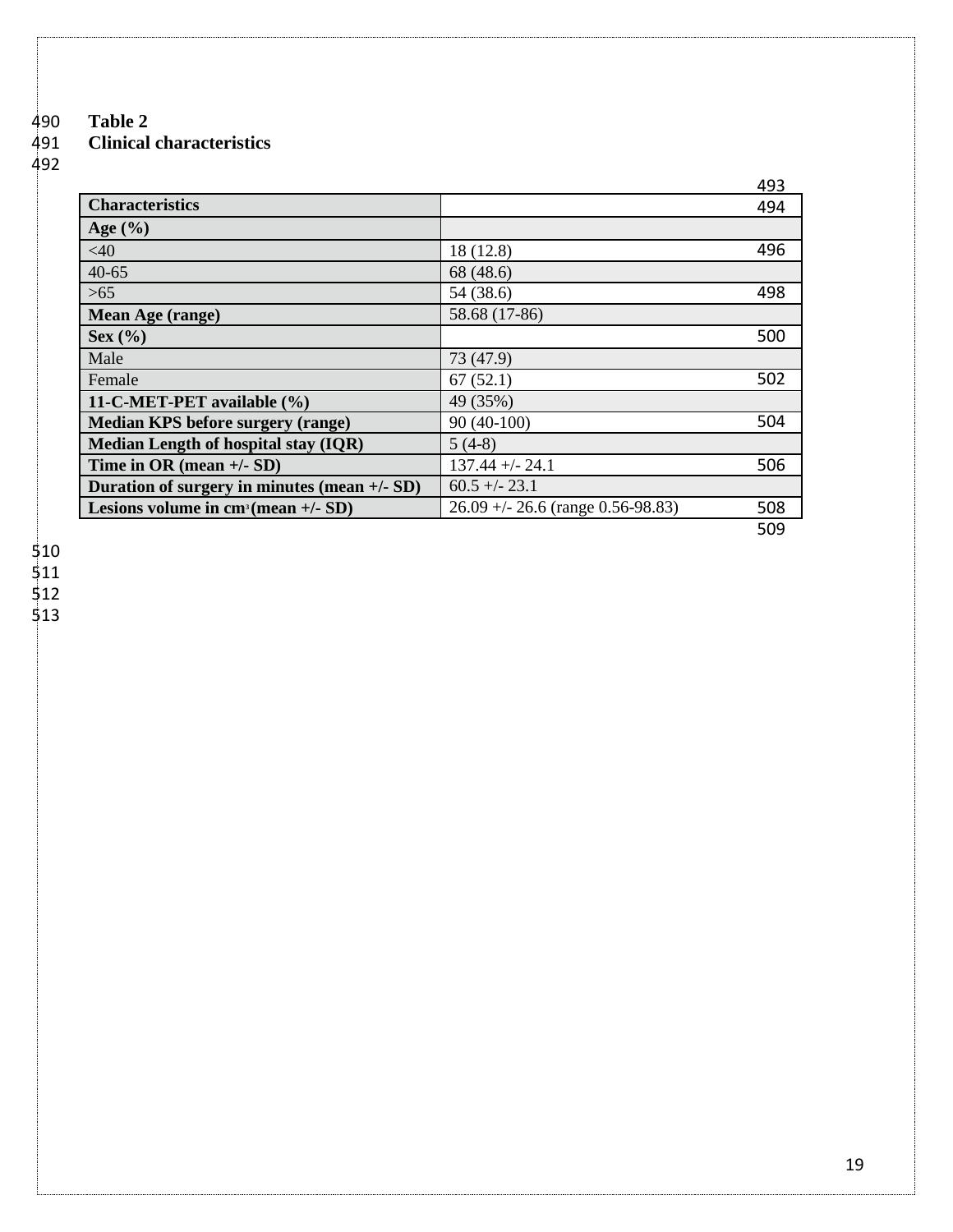# 490 **Table 2**  491 **Clinical characteristics**

492

|                                              |                                     | 493 |
|----------------------------------------------|-------------------------------------|-----|
| <b>Characteristics</b>                       |                                     | 494 |
| Age $(\% )$                                  |                                     |     |
| $<$ 40                                       | 18 (12.8)                           | 496 |
| $40 - 65$                                    | 68 (48.6)                           |     |
| >65                                          | 54 (38.6)                           | 498 |
| Mean Age (range)                             | 58.68 (17-86)                       |     |
| Sex( %)                                      |                                     | 500 |
| Male                                         | 73 (47.9)                           |     |
| Female                                       | 67(52.1)                            | 502 |
| 11-C-MET-PET available (%)                   | 49 (35%)                            |     |
| <b>Median KPS before surgery (range)</b>     | $90(40-100)$                        | 504 |
| Median Length of hospital stay (IQR)         | $5(4-8)$                            |     |
| Time in OR (mean $+/-$ SD)                   | $137.44 + - 24.1$                   | 506 |
| Duration of surgery in minutes (mean +/- SD) | $60.5 + -23.1$                      |     |
| Lesions volume in $cm^3$ (mean +/- SD)       | $26.09 + - 26.6$ (range 0.56-98.83) | 508 |
|                                              |                                     | 509 |

510

511

512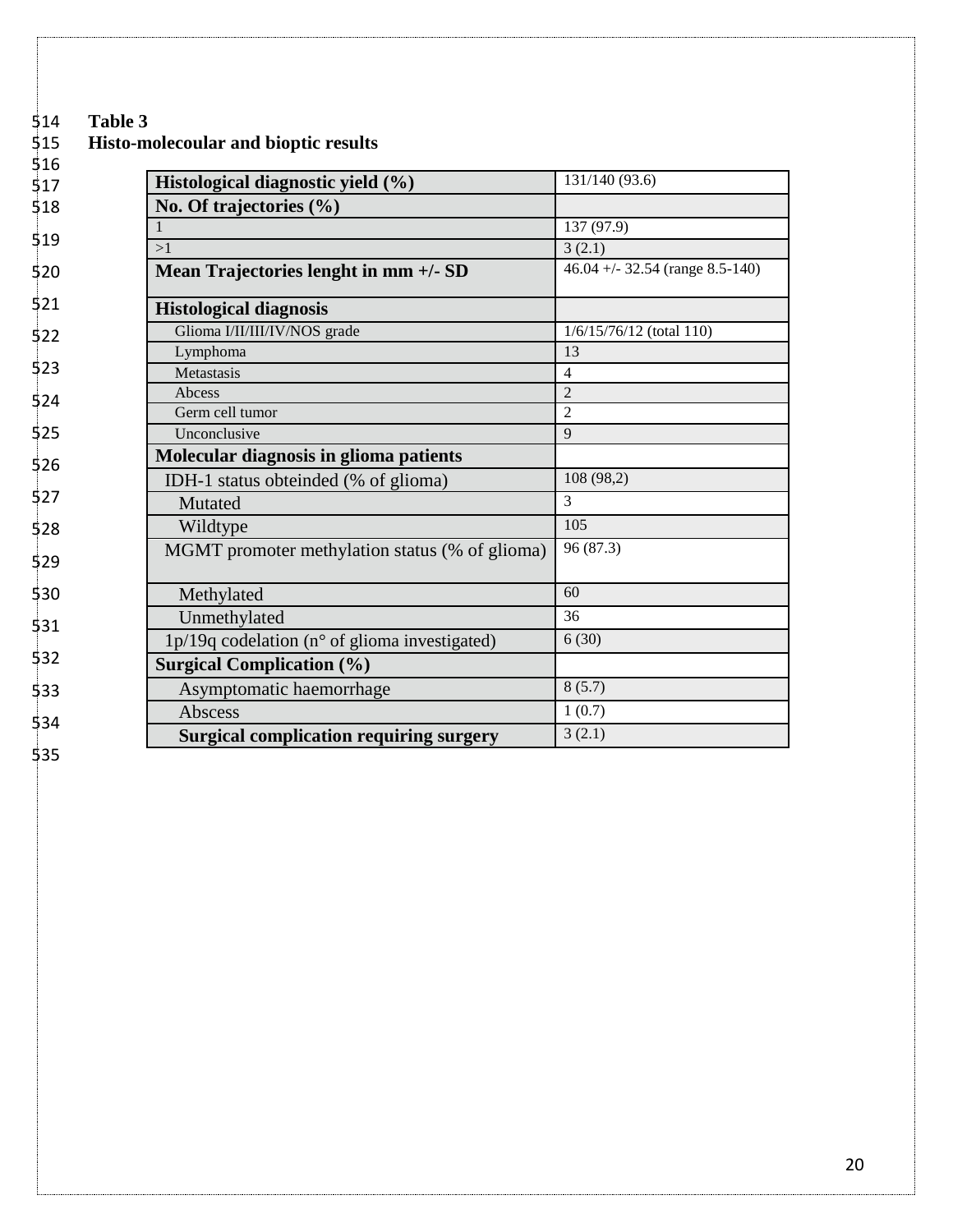# 514 **Table 3**

# 515 **Histo-molecoular and bioptic results**

| 516 |                                                         |                                  |
|-----|---------------------------------------------------------|----------------------------------|
| 517 | Histological diagnostic yield (%)                       | 131/140 (93.6)                   |
| 518 | No. Of trajectories $(\% )$                             |                                  |
|     |                                                         | 137 (97.9)                       |
| 519 | >1                                                      | 3(2.1)                           |
| 520 | Mean Trajectories lenght in mm +/- SD                   | $46.04 + -32.54$ (range 8.5-140) |
| 521 | <b>Histological diagnosis</b>                           |                                  |
| 522 | Glioma I/II/II/IV/NOS grade                             | 1/6/15/76/12 (total 110)         |
|     | Lymphoma                                                | 13                               |
| 523 | Metastasis                                              | $\overline{4}$                   |
| 524 | Abcess                                                  | $\overline{2}$                   |
|     | Germ cell tumor                                         | $\overline{2}$                   |
| 525 | Unconclusive                                            | 9                                |
| 526 | Molecular diagnosis in glioma patients                  |                                  |
|     | IDH-1 status obteinded (% of glioma)                    | 108 (98,2)                       |
| 527 | Mutated                                                 | $\mathcal{E}$                    |
| 528 | Wildtype                                                | 105                              |
| 529 | MGMT promoter methylation status (% of glioma)          | 96 (87.3)                        |
| 530 | Methylated                                              | 60                               |
| 531 | Unmethylated                                            | 36                               |
|     | 1p/19q codelation ( $n^{\circ}$ of glioma investigated) | 6(30)                            |
| 532 | <b>Surgical Complication (%)</b>                        |                                  |
| 533 | Asymptomatic haemorrhage                                | 8(5.7)                           |
| 534 | Abscess                                                 | 1(0.7)                           |
|     | <b>Surgical complication requiring surgery</b>          | 3(2.1)                           |
| ミマス |                                                         |                                  |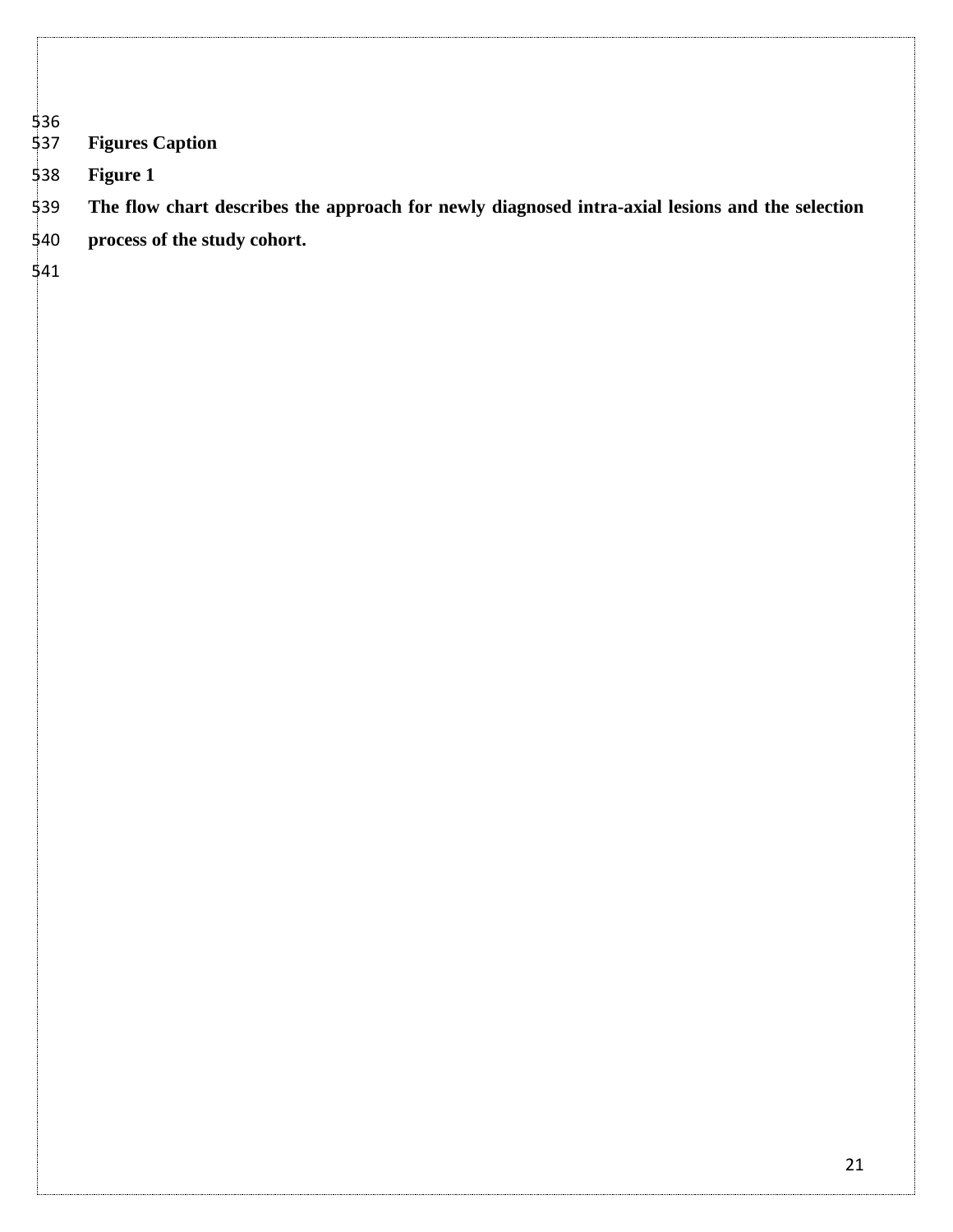# 536<br>537 **Figures Caption**

**Figure 1**

- **The flow chart describes the approach for newly diagnosed intra-axial lesions and the selection**
- **process of the study cohort.**